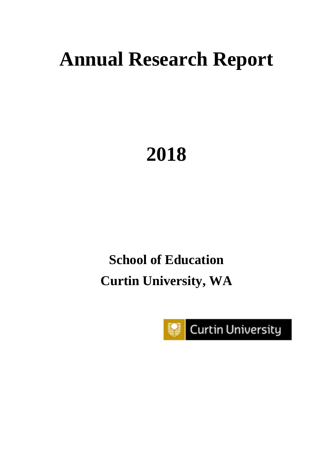# **Annual Research Report**

# **2018**

# **School of Education Curtin University, WA**

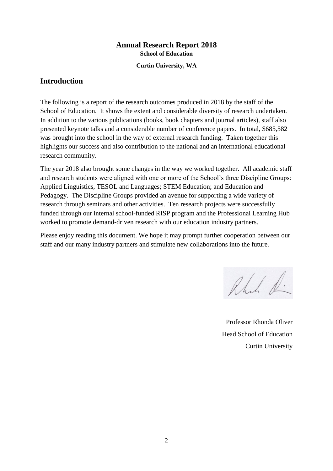## **Annual Research Report 2018 School of Education**

**Curtin University, WA**

# **Introduction**

The following is a report of the research outcomes produced in 2018 by the staff of the School of Education. It shows the extent and considerable diversity of research undertaken. In addition to the various publications (books, book chapters and journal articles), staff also presented keynote talks and a considerable number of conference papers. In total, \$685,582 was brought into the school in the way of external research funding. Taken together this highlights our success and also contribution to the national and an international educational research community.

The year 2018 also brought some changes in the way we worked together. All academic staff and research students were aligned with one or more of the School's three Discipline Groups: Applied Linguistics, TESOL and Languages; STEM Education; and Education and Pedagogy. The Discipline Groups provided an avenue for supporting a wide variety of research through seminars and other activities. Ten research projects were successfully funded through our internal school-funded RISP program and the Professional Learning Hub worked to promote demand-driven research with our education industry partners.

Please enjoy reading this document. We hope it may prompt further cooperation between our staff and our many industry partners and stimulate new collaborations into the future.

Rhab R.

Professor Rhonda Oliver Head School of Education Curtin University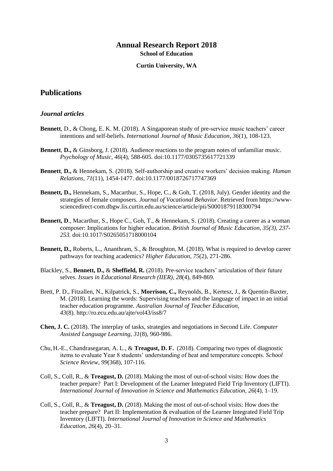### **Annual Research Report 2018 School of Education**

#### **Curtin University, WA**

# **Publications**

#### *Journal articles*

- **Bennett**, D., & Chong, E. K. M. (2018). A Singaporean study of pre-service music teachers' career intentions and self-beliefs. *International Journal of Music Education*, *36*(1), 108-123.
- **Bennett**, **D.,** & Ginsborg, J. (2018). Audience reactions to the program notes of unfamiliar music. *Psychology of Music*, *46*(4), 588-605. doi:10.1177/0305735617721339
- **Bennett**, **D.,** & Hennekam, S. (2018). Self-authorship and creative workers' decision making. *Human Relations*, *71*(11), 1454-1477. doi:10.1177/0018726717747369
- **Bennett, D.,** Hennekam, S., Macarthur, S., Hope, C., & Goh, T. (2018, July). [Gender identity and the](https://www-sciencedirect-com.dbgw.lis.curtin.edu.au/science/article/pii/S0001879118300794)  [strategies of female composers.](https://www-sciencedirect-com.dbgw.lis.curtin.edu.au/science/article/pii/S0001879118300794) *Journal of Vocational Behavior*. Retrieved fro[m https://www](https://www-sciencedirect-com.dbgw.lis.curtin.edu.au/science/article/pii/S0001879118300794)[sciencedirect-com.dbgw.lis.curtin.edu.au/science/article/pii/S0001879118300794](https://www-sciencedirect-com.dbgw.lis.curtin.edu.au/science/article/pii/S0001879118300794)
- **Bennett, D., Macarthur, S., Hope C., Goh, T., & Hennekam, S. (2018). Creating a career as a woman** composer: Implications for higher education. *British Journal of Music Education*, *35(3), 237- 253*. doi:10.1017/S0265051718000104
- **Bennett, D.,** Roberts, L., Ananthram, S., & Broughton, M. (2018). [What is required to develop career](http://dx.doi.org/10.1007/s10734-017-0138-9)  [pathways for teaching academics?](http://dx.doi.org/10.1007/s10734-017-0138-9) *Higher Education*, *75*(2), 271-286.
- Blackley, S., **Bennett, D.,** & **Sheffield, R.** (2018). [Pre-service teachers' articulation of their future](http://www.iier.org.au/iier28/blackley2.pdf)  [selves.](http://www.iier.org.au/iier28/blackley2.pdf) *Issues in Educational Research (IIER)*, *28*(4), 849-869.
- Brett, P. D., Fitzallen, N., Kilpatrick, S., **Morrison, C.,** Reynolds, B., Kertesz, J., & Quentin-Baxter, M. (2018). Learning the words: Supervising teachers and the language of impact in an initial teacher education programme. *Australian Journal of Teacher Education, 43*(8). <http://ro.ecu.edu.au/ajte/vol43/iss8/7>
- **Chen, J. C.** (2018). The interplay of tasks, strategies and negotiations in Second Life. *Computer Assisted Language Learning*, *31*(8), 960-986.
- Chu, H.-E., Chandrasegaran, A. L., & **Treagust, D. F.** (2018). Comparing two types of diagnostic items to evaluate Year 8 students' understanding of heat and temperature concepts. *School Science Review, 99*(368), 107-116.
- Coll, S., Coll, R., & **Treagust, D.** (2018). Making the most of out-of-school visits: How does the teacher prepare? Part I: Development of the Learner Integrated Field Trip Inventory (LIFTI). *International Journal of Innovation in Science and Mathematics Education, 26*(4), 1–19.
- Coll, S., Coll, R., & **Treagust, D.** (2018). Making the most of out-of-school visits: How does the teacher prepare? Part II: Implementation & evaluation of the Learner Integrated Field Trip Inventory (LIFTI). *International Journal of Innovation in Science and Mathematics Education, 26*(4), 20–31.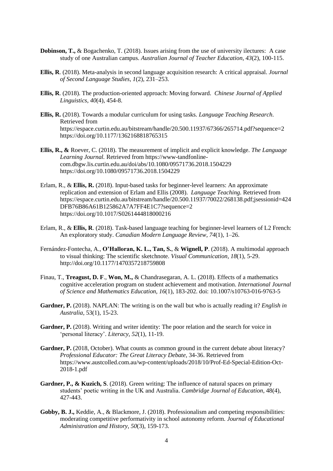- **Dobinson, T., & Bogachenko, T. (2018).** Issues arising from the use of university ilectures: A case study of one Australian campus. *Australian Journal of Teacher Education*, *43*(2), 100-115.
- **Ellis, R**. (2018). Meta-analysis in second language acquisition research: A critical appraisal. *Journal of Second Language Studies, 1*(2), 231–253.
- **Ellis, R**. (2018). The production-oriented approach: Moving forward. *Chinese Journal of Applied Linguistics, 40*(4), 454-8.
- **Ellis, R.** (2018). Towards a modular curriculum for using tasks*. Language Teaching Research*. Retrieved from https://espace.curtin.edu.au/bitstream/handle/20.500.11937/67366/265714.pdf?sequence=2 <https://doi.org/10.1177/1362168818765315>
- **Ellis, R., &** Roever, C. (2018). The measurement of implicit and explicit knowledge. *The Language Learning Journal.* Retrieved from https://www-tandfonlinecom.dbgw.lis.curtin.edu.au/doi/abs/10.1080/09571736.2018.1504229 <https://doi.org/10.1080/09571736.2018.1504229>
- Erlam, R., & **Ellis, R.** (2018). Input-based tasks for beginner-level learners: An approximate replication and extension of Erlam and Ellis (2008). *Language Teaching.* Retrieved from [https://espace.curtin.edu.au/bitstream/handle/20.500.11937/70022/268138.pdf;jsessionid=424](https://espace.curtin.edu.au/bitstream/handle/20.500.11937/70022/268138.pdf;jsessionid=424DFB76B86A61B125862A7A7FF4E1C7?sequence=2) [DFB76B86A61B125862A7A7FF4E1C7?sequence=2](https://espace.curtin.edu.au/bitstream/handle/20.500.11937/70022/268138.pdf;jsessionid=424DFB76B86A61B125862A7A7FF4E1C7?sequence=2) <https://doi.org/10.1017/S0261444818000216>
- Erlam, R., & **Ellis, R**. (2018). [Task-based language teaching for beginner-level learners of L2 French:](https://www.utpjournals.press/doi/abs/10.3138/cmlr.3831)  [An exploratory study.](https://www.utpjournals.press/doi/abs/10.3138/cmlr.3831) *Canadian Modern Language Review, 74*(1), 1–26.
- Fernández-Fontecha, A., **O'Halloran, K. L., Tan, S.**, & **Wignell, P**. (2018). A multimodal approach to visual thinking: The scientific sketchnote. *Visual Communication, 18*(1), 5-29. <http://doi.org/10.1177/1470357218759808>
- Finau, T., **Treagust, D. F**., **Won, M.,** & Chandrasegaran, A. L. (2018). Effects of a mathematics cognitive acceleration program on student achievement and motivation. *International Journal of Science and Mathematics Education, 16*(1), 183-202. doi: 10.1007/s10763-016-9763-5
- **Gardner, P.** (2018). NAPLAN: The writing is on the wall but who is actually reading it? *English in Australia,* 53(1), 15-23.
- Gardner, P. (2018). Writing and writer identity: The poor relation and the search for voice in 'personal literacy'. *Literacy, 52*(1), 11-19.
- Gardner, P. (2018, October). What counts as common ground in the current debate about literacy? *Professional Educator: The Great Literacy Debate,* 34-36. Retrieved from https://www.austcolled.com.au/wp-content/uploads/2018/10/Prof-Ed-Special-Edition-Oct-2018-1.pdf
- **Gardner, P., & Kuzich, S**. (2018). Green writing: The influence of natural spaces on primary students' poetic writing in the UK and Australia. *Cambridge Journal of Education*, 48(4), 427-443.
- **Gobby, B. J.,** Keddie, A., & Blackmore, J. (2018). Professionalism and competing responsibilities: moderating competitive performativity in school autonomy reform. *Journal of Educational Administration and History, 50*(3), 159-173.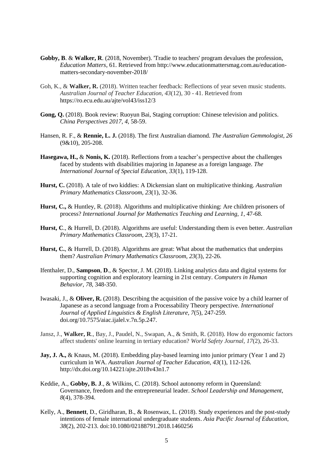- **Gobby, B**. & **Walker, R**. (2018, November). 'Tradie to teachers' program devalues the profession, *Education Matters*, 61. Retrieved from http://www.educationmattersmag.com.au/educationmatters-secondary-november-2018/
- Goh, K., & **Walker, R.** (2018). Written teacher feedback: Reflections of year seven music students. *Australian Journal of Teacher Education, 43*(12), 30 - 41. Retrieved from <https://ro.ecu.edu.au/ajte/vol43/iss12/3>
- Gong, O.  $(2018)$ . Book review: Ruoyun Bai, Staging corruption: Chinese television and politics. *China Perspectives 2017, 4*, 58-59.
- Hansen, R. F., & **Rennie, L. J.** (2018). The first Australian diamond. *The Australian Gemmologist, 26* (9&10), 205-208.
- **Hasegawa, H.,** & **Nonis, K.** (2018). Reflections from a teacher's perspective about the challenges faced by students with disabilities majoring in Japanese as a foreign language. *The International Journal of Special Education, 33*(1), 119-128.
- **Hurst, C.** (2018). A tale of two kiddies: A Dickensian slant on multiplicative thinking. *Australian Primary Mathematics Classroom, 23*(1), 32-36.
- **Hurst, C.,** & Huntley, R. (2018). Algorithms and multiplicative thinking: Are children prisoners of process? *International Journal for Mathematics Teaching and Learning, 1*, 47-68.
- **Hurst, C**., & Hurrell, D. (2018). Algorithms are useful: Understanding them is even better. *Australian Primary Mathematics Classroom, 23*(3), 17-21.
- **Hurst, C.**, & Hurrell, D. (2018). Algorithms are great: What about the mathematics that underpins them? *Australian Primary Mathematics Classroom, 23*(3), 22-26.
- Ifenthaler, D., **Sampson**, **D**., & Spector, J. M. (2018). Linking analytics data and digital systems for supporting cognition and exploratory learning in 21st century. *Computers in Human Behavior*, *[78](https://www.sciencedirect.com/science/journal/07475632/78/supp/C)*, 348-350.
- Iwasaki, J., & **Oliver, R.** (2018). Describing the acquisition of the passive voice by a child learner of Japanese as a second language from a Processability Theory perspective. *International Journal of Applied Linguistics & English Literature, 7*(5), 247-259. doi.org/10.7575/aiac.ijalel.v.7n.5p.247.
- Jansz, J., **Walker, R**., Bay, J., Paudel, N., Swapan, A., & Smith, R. (2018). How do ergonomic factors affect students' online learning in tertiary education? *World Safety Journal, 17*(2), 26-33.
- **Jay, J. A., & Knaus, M.** (2018). Embedding play-based learning into junior primary (Year 1 and 2) curriculum in WA. *Australian Journal of Teacher Education, 43*(1), 112-126. <http://dx.doi.org/10.14221/ajte.2018v43n1.7>
- Keddie, A., **Gobby, B. J**., & Wilkins, C. (2018). School autonomy reform in Queensland: Governance, freedom and the entrepreneurial leader. *School Leadership and Management, 8*(4), 378-394.
- Kelly, A., **Bennett**, D., Giridharan, B., & Rosenwax, L. (2018). Study experiences and the post-study intentions of female international undergraduate students. *Asia Pacific Journal of Education*, *38*(2), 202-213. doi:10.1080/02188791.2018.1460256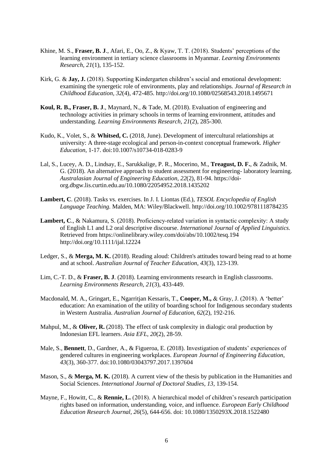- Khine, M. S., **Fraser, B. J**., Afari, E., Oo, Z., & Kyaw, T. T. (2018). Students' perceptions of the learning environment in tertiary science classrooms in Myanmar. *Learning Environments Research, 21*(1), 135-152.
- Kirk, G. & **Jay, J.** (2018). Supporting Kindergarten children's social and emotional development: examining the synergetic role of environments, play and relationships. *Journal of Research in Childhood Education, 32*(4), 472-485.<http://doi.org/10.1080/02568543.2018.1495671>
- **Koul, R. B., Fraser, B. J**., Maynard, N., & Tade, M. (2018). Evaluation of engineering and technology activities in primary schools in terms of learning environment, attitudes and understanding. *Learning Environments Research, 21*(2), 285-300.
- Kudo, K., Volet, S., & **Whitsed, C.** (2018, June). Development of intercultural relationships at university: A three-stage ecological and person-in-context conceptual framework. *Higher Education*, 1-17. doi:10.1007/s10734-018-0283-9
- Lal, S., Lucey, A. D., Lindsay, E., Sarukkalige, P. R., Mocerino, M., **Treagust, D. F.**, & Zadnik, M. G. (2018). An alternative approach to student assessment for engineering- laboratory learning. *Australasian Journal of Engineering Education, 22*(2), 81-94. [https://doi](https://doi-org.dbgw.lis.curtin.edu.au/10.1080/22054952.2018.1435202)[org.dbgw.lis.curtin.edu.au/10.1080/22054952.2018.1435202](https://doi-org.dbgw.lis.curtin.edu.au/10.1080/22054952.2018.1435202)
- **Lambert, C**. (2018). Tasks vs. exercises. In J. I. Liontas (Ed.), *TESOL Encyclopedia of English Language Teaching.* Malden, MA: Wiley/Blackwell.<http://doi.org/10.1002/9781118784235>
- Lambert, C., & Nakamura, S. (2018). Proficiency-related variation in syntactic complexity: A study of English L1 and L2 oral descriptive discourse. *International Journal of Applied Linguistics.*  Retrieved from https://onlinelibrary.wiley.com/doi/abs/10.1002/tesq.194 <http://doi.org/10.1111/ijal.12224>
- Ledger, S., & **Merga, M. K.** (2018). Reading aloud: Children's attitudes toward being read to at home and at school. *Australian Journal of Teacher Education*, *43*(3), 123-139.
- Lim, C.-T. D., & **Fraser, B. J**. (2018). Learning environments research in English classrooms. *Learning Environments Research, 21*(3), 433-449.
- Macdonald, M. A., Gringart, E., Ngarritjan Kessaris, T., **Cooper, M.,** & Gray, J. (2018). A 'better' education: An examination of the utility of boarding school for Indigenous secondary students in Western Australia. *Australian Journal of Education, 62*(2), 192-216.
- Mahpul, M., & **Oliver, R.** (2018). The effect of task complexity in dialogic oral production by Indonesian EFL learners. *Asia EFL, 20*(2)*,* 28-59.
- Male, S., **Bennett**, D., Gardner, A., & Figueroa, E. (2018). Investigation of students' experiences of gendered cultures in engineering workplaces. *European Journal of Engineering Education*, *43*(3), 360-377. doi:10.1080/03043797.2017.1397604
- Mason, S., & **Merga, M. K.** (2018). A current view of the thesis by publication in the Humanities and Social Sciences. *International Journal of Doctoral Studies, 13,* 139-154.
- Mayne, F., Howitt, C., & **Rennie, L.** (2018). A hierarchical model of children's research participation rights based on information, understanding, voice, and influence. *European Early Childhood Education Research Journal, 26*(5), 644-656. doi: 10.1080/1350293X.2018.1522480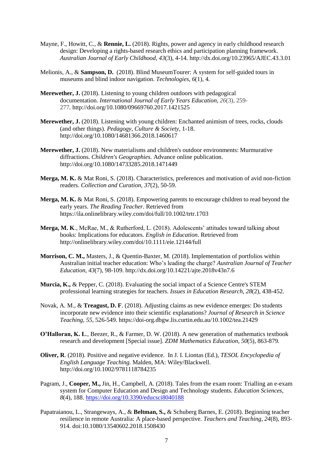- Mayne, F., Howitt, C., & **Rennie, L.** (2018). Rights, power and agency in early childhood research design: Developing a rights-based research ethics and participation planning framework. *Australian Journal of Early Childhood, 43*(3), 4-14.<http://dx.doi.org/10.23965/AJEC.43.3.01>
- Melionis, A., & **Sampson, D.** (2018). Blind MuseumTourer: A system for self-guided tours in museums and blind indoor navigation. *Technologies*, *6*(1), 4.
- **Merewether, J.** (2018). Listening to young children outdoors with pedagogical documentation. *International Journal of Early Years Education, 26*(3), 259- 277*.* <http://doi.org/10.1080/09669760.2017.1421525>
- **Merewether, J.** (2018). Listening with young children: Enchanted animism of trees, rocks, clouds (and other things). *Pedagogy, Culture & Society*, 1-18. <http://doi.org/10.1080/14681366.2018.1460617>
- **Merewether, J.** (2018). New materialisms and children's outdoor environments: Murmurative diffractions. *Children's Geographies.* Advance online publication. <http://doi.org/10.1080/14733285.2018.1471449>
- **Merga, M. K.** & Mat Roni, S. (2018). Characteristics, preferences and motivation of avid non-fiction readers. *Collection and Curation, 37*(2), 50-59.
- **Merga, M. K.** & Mat Roni, S. (2018). Empowering parents to encourage children to read beyond the early years. *The Reading Teacher*. Retrieved from <https://ila.onlinelibrary.wiley.com/doi/full/10.1002/trtr.1703>
- **Merga, M. K**., McRae, M., & Rutherford, L. (2018). Adolescents' attitudes toward talking about books: Implications for educators. *English in Education*. Retrieved from <http://onlinelibrary.wiley.com/doi/10.1111/eie.12144/full>
- **Morrison, C. M.,** Masters, J., & Quentin-Baxter, M. (2018). Implementation of portfolios within Australian initial teacher education: Who's leading the charge? *Australian Journal of Teacher Education*, *43*(7), 98-109. <http://dx.doi.org/10.14221/ajte.2018v43n7.6>
- **Murcia, K.,** & Pepper, C. (2018). Evaluating the social impact of a Science Centre's STEM professional learning strategies for teachers. *Issues in Education Research, 28*(2), 438-452.
- Novak, A. M., & **Treagust, D. F**. (2018). Adjusting claims as new evidence emerges: Do students incorporate new evidence into their scientific explanations? *Journal of Research in Science Teaching, 55,* 526-549.<https://doi-org.dbgw.lis.curtin.edu.au/10.1002/tea.21429>
- **O'Halloran, K. L., Beezer, R., & Farmer, D. W. (2018). A new generation of mathematics textbook** research and development [Special issue]. *ZDM Mathematics Education, 50*(5), 863-879*.*
- **Oliver, R**. (2018). Positive and negative evidence. In J. I. Liontas (Ed.), *TESOL Encyclopedia of English Language Teaching.* Malden, MA: Wiley/Blackwell. <http://doi.org/10.1002/9781118784235>
- Pagram, J., **Cooper, M.,** Jin, H., Campbell, A. (2018). Tales from the exam room: Trialling an e-exam system for Computer Education and Design and Technology students. *Education Sciences, 8*(4), 188.<https://doi.org/10.3390/educsci8040188>
- Papatraianou, L., Strangeways, A., & **Beltman, S.,** & Schuberg Barnes, E. (2018). Beginning teacher resilience in remote Australia: A place-based perspective. *Teachers and Teaching, 24*(8), 893- 914. doi[:10.1080/13540602.2018.1508430](https://doi.org/10.1080/13540602.2018.1508430)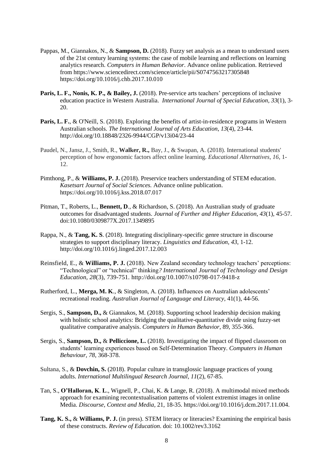- Pappas, M., Giannakos, N., & **Sampson, D.** (2018). Fuzzy set analysis as a mean to understand users of the 21st century learning systems: the case of mobile learning and reflections on learning analytics research. *Computers in Human Behavior*. Advance online publication. Retrieved from<https://www.sciencedirect.com/science/article/pii/S0747563217305848> <https://doi.org/10.1016/j.chb.2017.10.010>
- **Paris, L. F., Nonis, K. P., & Bailey, J.** (2018). Pre-service arts teachers' perceptions of inclusive education practice in Western Australia. *International Journal of Special Education, 33*(1), 3- 20.
- **Paris, L. F.**, & O'Neill, S. (2018). Exploring the benefits of artist-in-residence programs in Western Australian schools. *The International Journal of Arts Education*, *13*(4), 23-44. <http://doi.org/10.18848/2326-9944/CGP/v13i04/23-44>
- Paudel, N., Jansz, J., Smith, R., **Walker, R.,** Bay, J., & Swapan, A. (2018). International students' perception of how ergonomic factors affect online learning. *Educational Alternatives, 16*, 1- 12.
- Pimthong, P., & **Williams, P. J.** (2018). Preservice teachers understanding of STEM education. *Kasetsart Journal of Social Sciences.* Advance online publication. <https://doi.org/10.1016/j.kss.2018.07.017>
- Pitman, T., Roberts, L., **Bennett, D**., & Richardson, S. (2018). [An Australian study of graduate](https://www.tandfonline.com/doi/full/10.1080/0309877X.2017.1349895)  [outcomes for disadvantaged students.](https://www.tandfonline.com/doi/full/10.1080/0309877X.2017.1349895) *Journal of Further and Higher Education*, *43*(1), 45-57. doi[:10.1080/0309877X.2017.1349895](https://doi.org/10.1080/0309877X.2017.1349895)
- Rappa, N., & **Tang, K. S**. (2018). Integrating disciplinary-specific genre structure in discourse strategies to support disciplinary literacy. *Linguistics and Education*, *43*, 1-12. <http://doi.org/10.1016/j.linged.2017.12.003>
- Reinsfield, E., & **Williams, P. J.** (2018). New Zealand secondary technology teachers' perceptions: "Technological" or "technical" thinking*? International Journal of Technology and Design Education, 28*(3), 739-751.<http://doi.org/10.1007/s10798-017-9418-z>
- Rutherford, L., **Merga, M. K**., & Singleton, A. (2018). Influences on Australian adolescents' recreational reading. *Australian Journal of Language and Literacy*, 41(1), 44-56.
- Sergis, S., **Sampson, D.,** & Giannakos, M. (2018). Supporting school leadership decision making with holistic school analytics: Bridging the qualitative-quantitative divide using fuzzy-set qualitative comparative analysis. *Computers in Human Behavior*, 89, 355-366.
- Sergis, S., **Sampson, D.,** & **Pelliccione, L.** (2018). Investigating the impact of flipped classroom on students' learning experiences based on Self-Determination Theory. *Computers in Human Behaviour, 78*, 368-378.
- Sultana, S., & **Dovchin, S.** (2018). Popular culture in transglossic language practices of young adults. *International Multilingual Research Journal, 11*(2), 67-85.
- Tan, S., **O'Halloran, K**. **L**., Wignell, P., Chai, K. & Lange, R. (2018). A multimodal mixed methods approach for examining recontextualisation patterns of violent extremist images in online Media. *Discourse, Context and Media,* 21, 18-35. [https://doi.org/10.1016/j.dcm.2017.11.004.](https://doi.org/10.1016/j.dcm.2017.11.004)
- **Tang, K. S.,** & **Williams, P. J.** (in press). STEM literacy or literacies? Examining the empirical basis of these constructs. *Review of Education*. doi: 10.1002/rev3.3162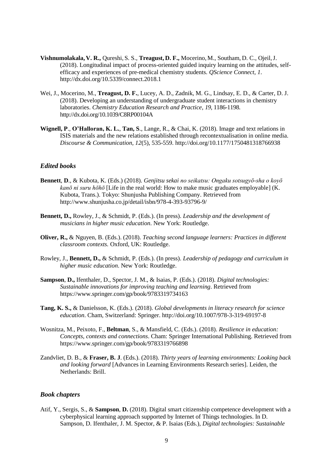- **Vishnumolakala, V. R.,** Qureshi, S. S., **Treagust, D. F.,** Mocerino, M., Southam, D. C., Ojeil,J. (2018). Longitudinal impact of process-oriented guided inquiry learning on the attitudes, selfefficacy and experiences of pre-medical chemistry students. *QScience Connect*, *1*. <http://dx.doi.org/10.5339/connect.2018.1>
- Wei, J., Mocerino, M., **Treagust, D. F.**, Lucey, A. D., Zadnik, M. G., Lindsay, E. D., & Carter, D. J. (2018). Developing an understanding of undergraduate student interactions in chemistry laboratories. *Chemistry Education Research and Practice*, *19*, 1186-1198. <http://dx.doi.org/10.1039/C8RP00104A>
- **Wignell, P**., **O'Halloran, K. L.**, **Tan, S**., Lange, R., & Chai, K. (2018). Image and text relations in ISIS materials and the new relations established through recontextualisation in online media. *Discourse & Communication, 12*(5), 535-559.<http://doi.org/10.1177/1750481318766938>

#### *Edited books*

- **Bennett**, **D**., & Kubota, K. (Eds.) (2018). *Genjitsu sekai no seikatsu: Ongaku sotsugyō-sha o koyō kanō ni suru hōhō* [Life in the real world: How to make music graduates employable] (K. Kubota, Trans.). Tokyo: Shunjusha Publishing Company. Retrieved from <http://www.shunjusha.co.jp/detail/isbn/978-4-393-93796-9/>
- **Bennett, D.,** Rowley, J., & Schmidt, P. (Eds.). (In press). *Leadership and the development of musicians in higher music education*. New York: Routledge.
- **Oliver, R.,** & Nguyen, B. (Eds.). (2018). *Teaching second language learners: Practices in different classroom contexts.* Oxford, UK: Routledge.
- Rowley, J., **Bennett, D.,** & Schmidt, P. (Eds.). (In press). *Leadership of pedagogy and curriculum in higher music education*. New York: Routledge.
- **Sampson**, **D.,** Ifenthaler, D., Spector, J. M., & Isaias, P. (Eds.). (2018). *Digital technologies: Sustainable innovations for improving teaching and learning*. Retrieved from <https://www.springer.com/gp/book/9783319734163>
- **Tang, K. S.,** & Danielsson, K. (Eds.). (2018). *Global developments in literacy research for science education*. Cham, Switzerland: Springer. <http://doi.org/10.1007/978-3-319-69197-8>
- Wosnitza, M., Peixoto, F., **Beltman**, S., & Mansfield, C. (Eds.). (2018). *Resilience in education: Concepts, contexts and connections*. Cham: Springer International Publishing. Retrieved from <https://www.springer.com/gp/book/9783319766898>
- Zandvliet, D. B., & **Fraser, B. J**. (Eds.). (2018). *Thirty years of learning environments: Looking back and looking forward* [Advances in Learning Environments Research series]. Leiden, the Netherlands: Brill.

#### *Book chapters*

Atif, Y., Sergis, S., & **Sampson**, **D.** (2018). Digital smart citizenship competence development with a cyberphysical learning approach supported by Internet of Things technologies. In D. Sampson, D. Ifenthaler, J. M. Spector, & P. Isaias (Eds.), *Digital technologies: Sustainable*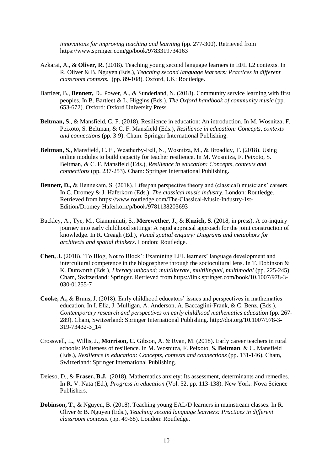*innovations for improving teaching and learning* (pp. 277-300). Retrieved from https://www.springer.com/gp/book/9783319734163

- Azkarai, A., & **Oliver, R.** (2018). Teaching young second language learners in EFL L2 contexts. In R. Oliver & B. Nguyen (Eds.), *Teaching second language learners: Practices in different classroom contexts.* (pp. 89-108). Oxford, UK: Routledge.
- Bartleet, B., **Bennett,** D., Power, A., & Sunderland, N. (2018). [Community service learning with first](http://dx.doi.org/10.1093/oxfordhb/9780190219505.013.3)  [peoples.](http://dx.doi.org/10.1093/oxfordhb/9780190219505.013.3) In B. Bartleet & L. Higgins (Eds.), *[The Oxford handbook of community music](https://global.oup.com/academic/product/the-oxford-handbook-of-community-music-9780190219505?cc=au&lang=en&)* (pp. 653-672). Oxford: Oxford University Press.
- **Beltman, S**., & Mansfield, C. F. (2018). Resilience in education: An introduction. In M. Wosnitza, F. Peixoto, S. Beltman, & C. F. Mansfield (Eds.), *Resilience in education: Concepts, contexts and connections* (pp. 3-9). Cham: Springer International Publishing.
- **Beltman, S.,** Mansfield, C. F., Weatherby‐Fell, N., Wosnitza, M., & Broadley, T. (2018). Using online modules to build capacity for teacher resilience. In M. Wosnitza, F. Peixoto, S. Beltman, & C. F. Mansfield (Eds.), *Resilience in education: Concepts, contexts and connections* (pp. 237-253). Cham: Springer International Publishing.
- **Bennett, D.,** & Hennekam, S. (2018). Lifespan perspective theory and (classical) musicians' careers. In C. Dromey & J. Haferkorn (Eds.), *[The classical music industry](https://www.crcpress.com/The-Classical-Music-Industry/Dromey-Haferkorn/p/book/9781138203693)*. London: Routledge. Retrieved from [https://www.routledge.com/The-Classical-Music-Industry-1st-](https://www.routledge.com/The-Classical-Music-Industry-1st-Edition/Dromey-Haferkorn/p/book/9781138203693)[Edition/Dromey-Haferkorn/p/book/9781138203693](https://www.routledge.com/The-Classical-Music-Industry-1st-Edition/Dromey-Haferkorn/p/book/9781138203693)
- Buckley, A., Tye, M., Giamminuti, S., **Merewether, J**., & **Kuzich, S.** (2018, in press). A co-inquiry journey into early childhood settings: A rapid appraisal approach for the joint construction of knowledge. In R. Creagh (Ed.), *Visual spatial enquiry: Diagrams and metaphors for architects and spatial thinkers*. London: Routledge.
- **Chen, J.** (2018). 'To Blog, Not to Block': Examining EFL learners' language development and intercultural competence in the blogosphere through the sociocultural lens. In T. Dobinson & K. Dunworth (Eds.), *Literacy unbound: multiliterate, multilingual, multimodal* (pp. 225-245). Cham, Switzerland: Springer. Retrieved from [https://link.springer.com/book/10.1007/978-3-](https://link.springer.com/book/10.1007/978-3-030-01255-7) [030-01255-7](https://link.springer.com/book/10.1007/978-3-030-01255-7)
- **Cooke, A.,** & Bruns, J. (2018). Early childhood educators' issues and perspectives in mathematics education. In I. Elia, J. Mulligan, A. Anderson, A. Baccaglini-Frank, & C. Benz. (Eds.), *Contemporary research and perspectives on early childhood mathematics education* (pp. 267- 289). Cham, Switzerland: Springer International Publishing. [http://doi.org/10.1007/978-3-](http://doi.org/10.1007/978-3-319-73432-3_14) [319-73432-3\\_14](http://doi.org/10.1007/978-3-319-73432-3_14)
- Crosswell, L., Willis, J., **Morrison, C.** Gibson, A. & Ryan, M. (2018). Early career teachers in rural schools: Politeness of resilience. In M. Wosnitza, F. Peixoto, **S. Beltman**, & C. Mansfield (Eds.), *Resilience in education: Concepts, contexts and connections* (pp. 131-146). Cham, Switzerland: Springer International Publishing.
- Deieso, D., & **Fraser, B.J.** (2018). Mathematics anxiety: Its assessment, determinants and remedies. In R. V. Nata (Ed.), *Progress in education* (Vol. 52, pp. 113-138). New York: Nova Science Publishers.
- **Dobinson, T.,** & Nguyen, B. (2018). Teaching young EAL/D learners in mainstream classes. In R. Oliver & B. Nguyen (Eds.), *Teaching second language learners: Practices in different classroom contexts.* (pp. 49-68). London: Routledge.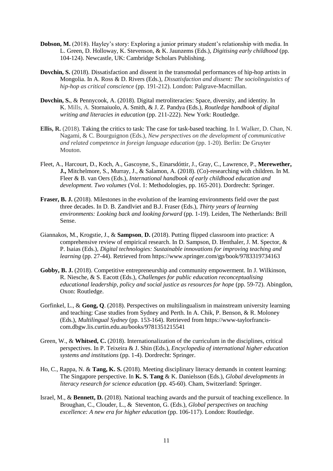- **Dobson, M.** (2018). Hayley's story: Exploring a junior primary student's relationship with media. In L. Green, D. Holloway, K. Stevenson, & K. Jaunzems (Eds.), *Digitising early childhood* (pp. 104-124). Newcastle, UK: Cambridge Scholars Publishing.
- **Dovchin, S.** (2018). Dissatisfaction and dissent in the transmodal performances of hip-hop artists in Mongolia. In A. Ross & D. Rivers (Eds.), *Dissatisfaction and dissent: The sociolinguistics of hip-hop as critical conscience* (pp. 191-212). London: Palgrave-Macmillan.
- **Dovchin, S.**, & Pennycook, A. (2018). Digital metroliteracies: Space, diversity, and identity. In K. Mills, A. Stornaiuolo, A. Smith, & J. Z. Pandya (Eds.), *Routledge handbook of digital writing and literacies in education* (pp. 211-222). New York: Routledge.
- **Ellis, R.** (2018). [Taking the critics to task: The case for task-based teaching.](https://www.degruyter.com/view/books/9781501505034/9781501505034-002/9781501505034-002.xml) In I. Walker, D. Chan, N. Nagami, & C. Bourguignon (Eds.), *New perspectives on the development of communicative and related competence in foreign language education* (pp. 1-20). Berlin: De Gruyter Mouton.
- Fleet, A., Harcourt, D., Koch, A., Gascoyne, S., Einarsdóttir, J., Gray, C., Lawrence, P., **Merewether, J.,** Mitchelmore, S., Murray, J., & Salamon, A. (2018). (Co)-researching with children. In M. Fleer & B. van Oers (Eds.), *International handbook of early childhood education and development. Two volumes* (Vol. 1: Methodologies, pp. 165-201). Dordrecht: Springer.
- **Fraser, B. J.** (2018). Milestones in the evolution of the learning environments field over the past three decades. In D. B. Zandlviet and B.J. Fraser (Eds.), *Thirty years of learning environments: Looking back and looking forward* (pp. 1-19). Leiden, The Netherlands: Brill Sense.
- Giannakos, M., Krogstie, J., & **Sampson**, **D.** (2018). Putting flipped classroom into practice: A comprehensive review of empirical research. In D. Sampson, D. Ifenthaler, J. M. Spector, & P. Isaias (Eds.), *Digital technologies: Sustainable innovations for improving teaching and learning* (pp. 27-44). Retrieved from https://www.springer.com/gp/book/9783319734163
- **Gobby, B. J.** (2018). Competitive entrepreneurship and community empowerment. In J. Wilkinson, R. Niesche, & S. Eacott (Eds.), *Challenges for public education reconceptualising educational leadership, policy and social justice as resources for hope* (pp. 59-72). Abingdon, Oxon: Routledge.
- Gorfinkel, L., & **Gong, Q**. (2018). Perspectives on multilingualism in mainstream university learning and teaching: Case studies from Sydney and Perth. In A. Chik, P. Benson, & R. Moloney (Eds.), *Multilingual Sydney* (pp. 153-164). Retrieved from https://www-taylorfranciscom.dbgw.lis.curtin.edu.au/books/9781351215541
- Green, W., & **Whitsed, C.** (2018). Internationalization of the curriculum in the disciplines, critical perspectives. In P. Teixeira & J. Shin (Eds.), *Encyclopedia of international higher education systems and institutions* (pp. 1-4). Dordrecht: Springer.
- Ho, C., Rappa, N. & **Tang, K. S.** (2018). Meeting disciplinary literacy demands in content learning: The Singapore perspective. In **K. S. Tang** & K. Danielsson (Eds.), *Global developments in literacy research for science education* (pp. 45-60)*.* Cham, Switzerland: Springer.
- Israel, M., & **Bennett, D.** (2018). National teaching awards and the pursuit of teaching excellence. In Broughan, C., Clouder, L., & Steventon, G. (Eds.), *[Global perspectives on teaching](https://www.routledge.com/Global-Perspectives-on-Teaching-Excellence-A-new-era-for-higher-education/Broughan-Steventon-Clouder/p/book/9780415793155)  [excellence: A new era for higher education](https://www.routledge.com/Global-Perspectives-on-Teaching-Excellence-A-new-era-for-higher-education/Broughan-Steventon-Clouder/p/book/9780415793155)* (pp. 106-117). London: Routledge.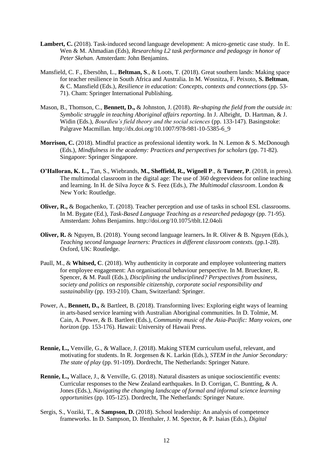- Lambert, C. (2018). Task-induced second language development: A micro-genetic case study. In E. Wen & M. Ahmadian (Eds), *Researching L2 task performance and pedagogy in honor of Peter Skehan.* Amsterdam: John Benjamins.
- Mansfield, C. F., Ebersöhn, L., **Beltman, S**., & Loots, T. (2018). Great southern lands: Making space for teacher resilience in South Africa and Australia. In M. Wosnitza, F. Peixoto, **S. Beltman**, & C. Mansfield (Eds.), *Resilience in education: Concepts, contexts and connections* (pp. 53- 71). Cham: Springer International Publishing.
- Mason, B., Thomson, C., **Bennett, D.,** & Johnston, J. (2018). *[Re-shaping the field from the outside in:](http://dx.doi.org/10.1007/978-981-10-5385-6_9)  [Symbolic struggle in teaching Aboriginal affairs reporting.](http://dx.doi.org/10.1007/978-981-10-5385-6_9)* In J. Albright, D. Hartman, & J. Widin (Eds.), *[Bourdieu's field theory and the social sciences](http://www.springer.com/us/book/9789811053849#aboutAuthors)* (pp. 133-147)*.* Basingstoke: Palgrave Macmillan. [http://dx.doi.org/10.1007/978-981-10-5385-6\\_9](http://dx.doi.org/10.1007/978-981-10-5385-6_9)
- **Morrison, C.** (2018). Mindful practice as professional identity work. In N. Lemon & S. McDonough (Eds.), *Mindfulness in the academy: Practices and perspectives for scholars* (pp. 71-82). Singapore: Springer Singapore.
- **O'Halloran, K. L**.**,** Tan, S., Wiebrands, **M., Sheffield, R., Wignell P**., & **Turner, P**. (2018, in press). The multimodal classroom in the digital age: The use of 360 degreevideos for online teaching and learning. In H. de Silva Joyce & S. Feez (Eds.), *The Multimodal classroom*. London & New York: Routledge.
- **Oliver, R.,** & Bogachenko, T. (2018). Teacher perception and use of tasks in school ESL classrooms. In M. Bygate (Ed.), *Task-Based Language Teaching as a researched pedagogy* (pp. 71-95). Amsterdam: Johns Benjamins.<http://doi.org/10.1075/tblt.12.04oli>
- **Oliver, R.** & Nguyen, B. (2018). Young second language learners**.** In R. Oliver & B. Nguyen (Eds.), *Teaching second language learners: Practices in different classroom contexts.* (pp.1-28). Oxford, UK: Routledge.
- Paull, M., & **Whitsed, C**. (2018). Why authenticity in corporate and employee volunteering matters for employee engagement: An organisational behaviour perspective. In M. Brueckner, R. Spencer, & M. Paull (Eds.), *Disciplining the undisciplined? Perspectives from business, society and politics on responsible citizenship, corporate social responsibility and sustainability* (pp. 193-210). Cham, Switzerland: Springer.
- Power, A., **Bennett, D.,** & Bartleet, B. (2018). Transforming lives: Exploring eight ways of learning in arts-based service learning with Australian Aboriginal communities. In D. Tolmie, M. Cain, A. Power, & B. Bartleet (Eds.), *[Community music of the Asia-Pacific: Many voices, one](http://www.uhpress.hawaii.edu/p-9733-9780824867003.aspx)  [horizon](http://www.uhpress.hawaii.edu/p-9733-9780824867003.aspx)* (pp. 153-176). Hawaii: University of Hawaii Press.
- **Rennie, L.,** Venville, G., & Wallace, J. (2018). Making STEM curriculum useful, relevant, and motivating for students. In R. Jorgensen & K. Larkin (Eds.), *STEM in the Junior Secondary: The state of play* (pp. 91-109). Dordrecht, The Netherlands: Springer Nature.
- **Rennie, L.,** Wallace, J., & Venville, G. (2018). Natural disasters as unique socioscientific events: Curricular responses to the New Zealand earthquakes. In D. Corrigan, C. Buntting, & A. Jones (Eds.), *Navigating the changing landscape of formal and informal science learning opportunities* (pp. 105-125). Dordrecht, The Netherlands: Springer Nature.
- Sergis, S., Voziki, T., & **Sampson, D.** (2018). School leadership: An analysis of competence frameworks. In D. Sampson, D. Ifenthaler, J. M. Spector, & P. Isaias (Eds.), *Digital*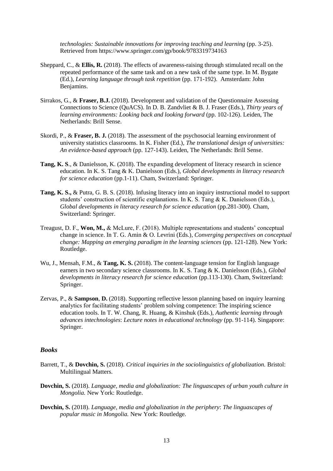*technologies: Sustainable innovations for improving teaching and learning* (pp. 3-25). Retrieved from https://www.springer.com/gp/book/9783319734163

- Sheppard, C., & **Ellis, R.** (2018). The effects of awareness-raising through stimulated recall on the repeated performance of the same task and on a new task of the same type. In M. Bygate (Ed.), *Learning language through task repetition* (pp. 171-192). Amsterdam: John Benjamins.
- Sirrakos, G., & **Fraser, B.J.** (2018). Development and validation of the Questionnaire Assessing Connections to Science (QuACS). In D. B. Zandvliet & B. J. Fraser (Eds.), *Thirty years of learning environments: Looking back and looking forward* (pp. 102-126). Leiden, The Netherlands: Brill Sense.
- Skordi, P., & **Fraser, B. J.** (2018). The assessment of the psychosocial learning environment of university statistics classrooms. In K. Fisher (Ed.), *The translational design of universities: An evidence-based approach* (pp. 127-143). Leiden, The Netherlands: Brill Sense.
- **Tang, K. S**., & Danielsson, K. (2018). The expanding development of literacy research in science education. In K. S. Tang & K. Danielsson (Eds.), *Global developments in literacy research for science education* (pp.1-11). Cham, Switzerland: Springer.
- **Tang, K. S.,** & Putra, G. B. S. (2018). Infusing literacy into an inquiry instructional model to support students' construction of scientific explanations. In K. S. Tang & K. Danielsson (Eds.), *Global developments in literacy research for science education (pp.281-300). Cham,* Switzerland: Springer.
- Treagust, D. F., **Won, M.,** & McLure, F. (2018). Multiple representations and students' conceptual change in science. In T. G. Amin & O. Levrini (Eds.), *Converging perspectives on conceptual change: Mapping an emerging paradigm in the learning sciences* (pp. 121-128). New York: Routledge.
- Wu, J., Mensah, F.M., & **Tang, K. S.** (2018). The content-language tension for English language earners in two secondary science classrooms. In K. S. Tang & K. Danielsson (Eds.), *Global developments in literacy research for science education (pp.113-130). Cham, Switzerland:* Springer.
- Zervas, P., & **Sampson**, **D.** (2018). Supporting reflective lesson planning based on inquiry learning analytics for facilitating students' problem solving competence: The inspiring science education tools. In T. W. Chang, R. Huang, & Kinshuk (Eds.), *Authentic learning through advances intechnologies*: *Lecture notes in educational technology* (pp. 91-114). Singapore: Springer.

#### *Books*

- Barrett, T., & **Dovchin, S.** (2018). *Critical inquiries in the sociolinguistics of globalization.* Bristol: Multilingual Matters.
- **Dovchin, S.** (2018). *Language, media and globalization: The linguascapes of urban youth culture in Mongolia.* New York: Routledge.
- **Dovchin, S.** (2018). *Language, media and globalization in the periphery*: *The linguascapes of popular music in Mongolia.* New York: Routledge.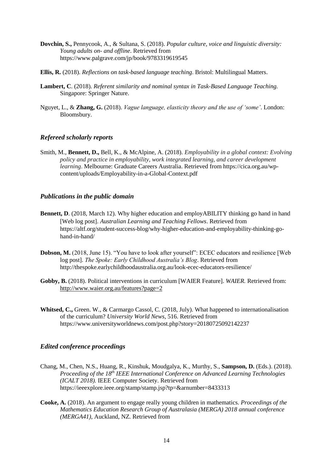- **Dovchin, S.,** Pennycook, A., & Sultana, S. (2018). *Popular culture, voice and linguistic diversity: Young adults on- and offline*. Retrieved from https://www.palgrave.com/jp/book/9783319619545
- **Ellis, R.** (2018). *Reflections on task-based language teaching*. Bristol: Multilingual Matters.
- **Lambert, C**. (2018). *Referent similarity and nominal syntax in Task-Based Language Teaching.* Singapore: Springer Nature.
- Nguyet, L., & **Zhang, G.** (2018). *Vague language, elasticity theory and the use of 'some'*. London: Bloomsbury.

#### *Refereed scholarly reports*

Smith, M., **Bennett, D.,** Bell, K., & McAlpine, A. (2018). *[Employability in a global context: Evolving](https://www.researchgate.net/publication/326264677_Employability_in_a_Global_Context_Evolving_Policy_and_Practice_in_Employability_Work_Integrated_Learning_and_Career_Development_Learning)  policy and [practice in employability, work integrated learning, and career development](https://www.researchgate.net/publication/326264677_Employability_in_a_Global_Context_Evolving_Policy_and_Practice_in_Employability_Work_Integrated_Learning_and_Career_Development_Learning)  [learning](https://www.researchgate.net/publication/326264677_Employability_in_a_Global_Context_Evolving_Policy_and_Practice_in_Employability_Work_Integrated_Learning_and_Career_Development_Learning)*. Melbourne: Graduate Careers Australia. Retrieved from https://cica.org.au/wpcontent/uploads/Employability-in-a-Global-Context.pdf

#### *Publications in the public domain*

- **Bennett, D.** (2018, March 12). Why higher education and employABILITY thinking go hand in hand [Web log post]. *Australian Learning and Teaching Fellows*. Retrieved from https://altf.org/student-success-blog/why-higher-education-and-employability-thinking-gohand-in-hand/
- **Dobson, M.** (2018, June 15). "You have to look after yourself": ECEC educators and resilience [Web log post]. *The Spoke: Early Childhood Australia's Blog*. Retrieved from <http://thespoke.earlychildhoodaustralia.org.au/look-ecec-educators-resilience/>
- **Gobby, B.** (2018). Political interventions in curriculum [WAIER Feature]. *WAIER.* Retrieved from: <http://www.waier.org.au/features?page=2>
- **Whitsed, C.,** Green. W., & Carmargo Cassol, C. (2018, July). What happened to internationalisation of the curriculum? *University World News*, 516. Retrieved from <https://www.universityworldnews.com/post.php?story=20180725092142237>

#### *Edited conference proceedings*

- Chang, M., Chen, N.S., Huang, R., Kinshuk, Moudgalya, K., Murthy, S., **Sampson, D.** (Eds.). (2018). Proceeding of the 18<sup>th</sup> IEEE International Conference on Advanced Learning Technologies *(ICALT 2018).* IEEE Computer Society. Retrieved from https://ieeexplore.ieee.org/stamp/stamp.jsp?tp=&arnumber=8433313
- **Cooke, A.** (2018). An argument to engage really young children in mathematics. *Proceedings of the Mathematics Education Research Group of Australasia (MERGA) 2018 annual conference (MERGA41)*, Auckland, NZ. Retrieved from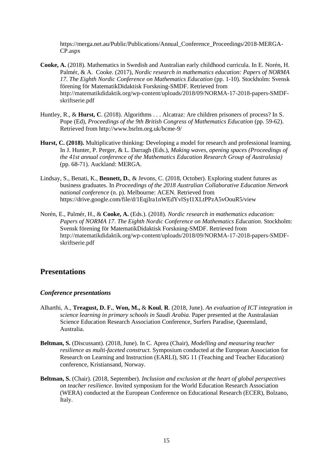[https://merga.net.au/Public/Publications/Annual\\_Conference\\_Proceedings/2018-MERGA-](https://merga.net.au/Public/Publications/Annual_Conference_Proceedings/2018-MERGA-CP.aspx)[CP.aspx](https://merga.net.au/Public/Publications/Annual_Conference_Proceedings/2018-MERGA-CP.aspx)

- **Cooke, A.** (2018). Mathematics in Swedish and Australian early childhood curricula. In E. Norén, H. Palmér, & A. Cooke. (2017), *Nordic research in mathematics education: Papers of NORMA*  17. *The Eighth Nordic Conference on Mathematics Education* (pp. 1-10). Stockholm: Svensk förening för MatematikDidaktisk Forskning-SMDF. Retrieved from [http://matematikdidaktik.org/wp-content/uploads/2018/09/NORMA-17-2018-papers-SMDF](http://matematikdidaktik.org/wp-content/uploads/2018/09/NORMA-17-2018-papers-SMDF-skriftserie.pdf)[skriftserie.pdf](http://matematikdidaktik.org/wp-content/uploads/2018/09/NORMA-17-2018-papers-SMDF-skriftserie.pdf)
- Huntley, R., & **Hurst, C**. (2018). Algorithms . . . Alcatraz: Are children prisoners of process? In S. Pope (Ed), *Proceedings of the 9th British Congress of Mathematics Education* (pp. 59-62). Retrieved from http://www.bsrlm.org.uk/bcme-9/
- **Hurst, C. (2018).** Multiplicative thinking: Developing a model for research and professional learning. In J. Hunter, P. Perger, & L. Darragh (Eds.), *Making waves, opening spaces (Proceedings of the 41st annual conference of the Mathematics Education Research Group of Australasia)* (pp. 68-71). Auckland: MERGA.
- Lindsay, S., Benati, K., **Bennett, D.**, & Jevons, C. (2018, October). Exploring student futures as business graduates. In *Proceedings of the 2018 Australian Collaborative Education Network national conference* (n. p). Melbourne: ACEN. Retrieved from <https://drive.google.com/file/d/1EqjIra1nWEdYvlSyI1XLtPPzA5vOouR5/view>
- Norén, E., Palmér, H., & **Cooke, A.** (Eds.). (2018). *Nordic research in mathematics education: Papers of NORMA 17*. *The Eighth Nordic Conference on Mathematics Education.* Stockholm: Svensk förening för MatematikDidaktisk Forskning-SMDF. Retrieved from [http://matematikdidaktik.org/wp-content/uploads/2018/09/NORMA-17-2018-papers-SMDF](http://matematikdidaktik.org/wp-content/uploads/2018/09/NORMA-17-2018-papers-SMDF-skriftserie.pdf)[skriftserie.pdf](http://matematikdidaktik.org/wp-content/uploads/2018/09/NORMA-17-2018-papers-SMDF-skriftserie.pdf)

### **Presentations**

#### *Conference presentations*

- Alharthi, A., **Treagust, D. F.**, **Won, M.,** & **Koul**, **R**. (2018, June). *An evaluation of ICT integration in science learning in primary schools in Saudi Arabia.* Paper presented at the Australasian Science Education Research Association Conference, Surfers Paradise, Queensland, Australia.
- **Beltman, S.** (Discussant). (2018, June). In C. Aprea (Chair), *Modelling and measuring teacher resilience as multi-faceted construct.* Symposium conducted at the European Association for Research on Learning and Instruction (EARLI), SIG 11 (Teaching and Teacher Education) conference, Kristiansand, Norway.
- **Beltman, S.** (Chair). (2018, September). *Inclusion and exclusion at the heart of global perspectives on teacher resilience*. Invited symposium for the World Education Research Association (WERA) conducted at the European Conference on Educational Research (ECER), Bolzano, Italy.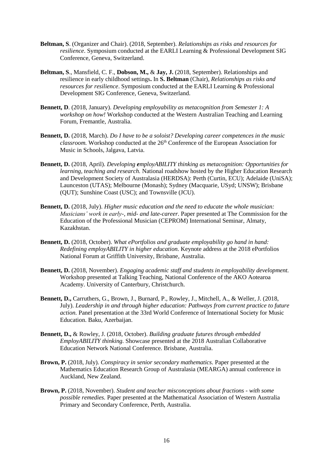- **Beltman, S**. (Organizer and Chair). (2018, September). *Relationships as risks and resources for resilience*. Symposium conducted at the EARLI Learning & Professional Development SIG Conference, Geneva, Switzerland.
- **Beltman, S**., Mansfield, C. F., **Dobson, M.,** & **Jay, J.** (2018, September). Relationships and resilience in early childhood settings**.** In **S. Beltman** (Chair), *Relationships as risks and resources for resilience*. Symposium conducted at the EARLI Learning & Professional Development SIG Conference, Geneva, Switzerland.
- **Bennett, D**. (2018, January). *Developing employability as metacognition from Semester 1: A workshop on how!* Workshop conducted at the Western Australian Teaching and Learning Forum, Fremantle, Australia.
- **Bennett, D.** (2018, March). *Do I have to be a soloist? Developing career competences in the music classroom.* Workshop conducted at the 26<sup>th</sup> Conference of the European Association for Music in Schools, Jalgava, Latvia.
- **Bennett, D.** (2018, April). *Developing employABILITY thinking as metacognition: Opportunities for learning, teaching and research.* National roadshow hosted by the Higher Education Research and Development Society of Australasia (HERDSA): Perth (Curtin, ECU); Adelaide (UniSA); Launceston (UTAS); Melbourne (Monash); Sydney (Macquarie, USyd; UNSW); Brisbane (QUT); Sunshine Coast (USC); and Townsville (JCU).
- **Bennett, D.** (2018, July). *Higher music education and the need to educate the whole musician: Musicians' work in early-, mid- and late-career.* Paper presented at The Commission for the Education of the Professional Musician (CEPROM) International Seminar, Almaty, Kazakhstan.
- **Bennett, D.** (2018, October). *What ePortfolios and graduate employability go hand in hand: Redefining employABILITY in higher education.* Keynote address at the 2018 ePortfolios National Forum at Griffith University, Brisbane, Australia.
- **Bennett, D.** (2018, November). *Engaging academic staff and students in employability development.* Workshop presented at Talking Teaching, National Conference of the AKO Aotearoa Academy. University of Canterbury, Christchurch.
- **Bennett, D.,** Carruthers, G., Brown, J., Burnard, P., Rowley, J., Mitchell, A., & Weller, J. (2018, July). *Leadership in and through higher education: Pathways from current practice to future action.* Panel presentation at the 33rd World Conference of International Society for Music Education. Baku, Azerbaijan.
- **Bennett, D.,** & Rowley, J. (2018, October). *Building graduate futures through embedded EmployABILITY thinking.* Showcase presented at the 2018 Australian Collaborative Education Network National Conference. Brisbane, Australia.
- **Brown, P.** (2018, July). *Conspiracy in senior secondary mathematics.* Paper presented at the Mathematics Education Research Group of Australasia (MEARGA) annual conference in Auckland, New Zealand.
- **Brown, P.** (2018, November). *Student and teacher misconceptions about fractions - with some possible remedies.* Paper presented at the Mathematical Association of Western Australia Primary and Secondary Conference, Perth, Australia.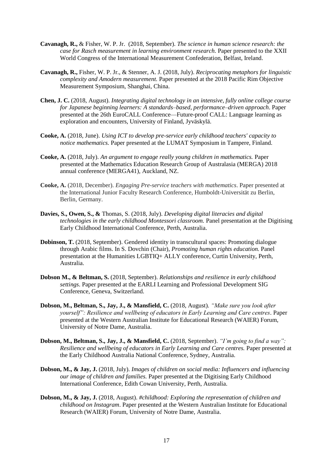- **Cavanagh, R.,** & Fisher, W. P. Jr.(2018, September). *The science in human science research: the case for Rasch measurement in learning environment research.* Paper presented to the XXII World Congress of the International Measurement Confederation, Belfast, Ireland.
- **Cavanagh, R.,** Fisher, W. P. Jr., & Stenner, A. J. (2018, July). *Reciprocating metaphors for linguistic complexity and Amodern measurement.* Paper presented at the 2018 Pacific Rim Objective Measurement Symposium, Shanghai, China.
- **Chen, J. C.** (2018, August). *Integrating digital technology in an intensive, fully online college course for Japanese beginning learners: A standards–based, performance–driven approach*. Paper presented at the 26th EuroCALL Conference—Future-proof CALL: Language learning as exploration and encounters, University of Finland, Jyväskylä.
- **Cooke, A.** (2018, June). *Using ICT to develop pre-service early childhood teachers' capacity to notice mathematics.* Paper presented at the LUMAT Symposium in Tampere, Finland.
- **Cooke, A.** (2018, July). *An argument to engage really young children in mathematics.* Paper presented at the Mathematics Education Research Group of Australasia (MERGA) 2018 annual conference (MERGA41), Auckland, NZ.
- **Cooke, A.** (2018, December). *Engaging Pre-service teachers with mathematics*. Paper presented at the International Junior Faculty Research Conference, Humboldt-Universität zu Berlin, Berlin, Germany.
- **Davies, S., Owen, S., &** Thomas, S. (2018, July). *Developing digital literacies and digital technologies in the early childhood Montessori classroom.* Panel presentation at the Digitising Early Childhood International Conference, Perth, Australia.
- **Dobinson, T.** (2018, September). Gendered identity in transcultural spaces: Promoting dialogue through Arabic films. In S. Dovchin (Chair), *Promoting human rights education.* Panel presentation at the Humanities LGBTIQ+ ALLY conference, Curtin University, Perth, Australia.
- **Dobson M., & Beltman, S.** (2018, September). *Relationships and resilience in early childhood settings*. Paper presented at the EARLI Learning and Professional Development SIG Conference, Geneva, Switzerland.
- **Dobson, M., Beltman, S., Jay, J., & Mansfield, C.** (2018, August). *"Make sure you look after yourself": Resilience and wellbeing of educators in Early Learning and Care centres*. Paper presented at the Western Australian Institute for Educational Research (WAIER) Forum, University of Notre Dame, Australia.
- **Dobson, M., Beltman, S., Jay, J., & Mansfield, C.** (2018, September). *"I'm going to find a way": Resilience and wellbeing of educators in Early Learning and Care centres.* Paper presented at the Early Childhood Australia National Conference, Sydney, Australia.
- **Dobson, M., & Jay, J.** (2018, July). *Images of children on social media: Influencers and influencing our image of children and families.* Paper presented at the Digitising Early Childhood International Conference, Edith Cowan University, Perth, Australia.
- **Dobson, M., & Jay, J.** (2018, August). *#childhood: Exploring the representation of children and childhood on Instagram*. Paper presented at the Western Australian Institute for Educational Research (WAIER) Forum, University of Notre Dame, Australia.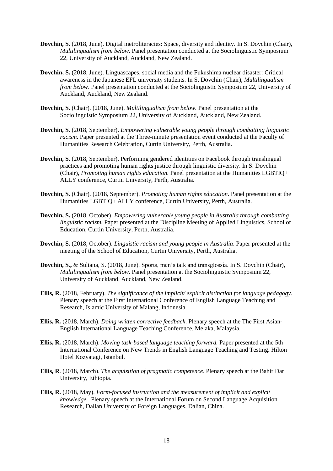- **Dovchin, S.** (2018, June). Digital metroliteracies: Space, diversity and identity. In S. Dovchin (Chair), *Multilingualism from below*. Panel presentation conducted at the Sociolinguistic Symposium 22, University of Auckland, Auckland, New Zealand.
- **Dovchin, S.** (2018, June). Linguascapes, social media and the Fukushima nuclear disaster: Critical awareness in the Japanese EFL university students. In S. Dovchin (Chair), *Multilingualism from below*. Panel presentation conducted at the Sociolinguistic Symposium 22, University of Auckland, Auckland, New Zealand.
- **Dovchin, S.** (Chair). (2018, June). *Multilingualism from below.* Panel presentation at the Sociolinguistic Symposium 22, University of Auckland, Auckland, New Zealand.
- **Dovchin, S.** (2018, September). *Empowering vulnerable young people through combatting linguistic racism*. Paper presented at the Three-minute presentation event conducted at the Faculty of Humanities Research Celebration, Curtin University, Perth, Australia.
- **Dovchin, S.** (2018, September). Performing gendered identities on Facebook through translingual practices and promoting human rights justice through linguistic diversity. In S. Dovchin (Chair), *Promoting human rights education.* Panel presentation at the Humanities LGBTIQ+ ALLY conference, Curtin University, Perth, Australia.
- **Dovchin, S.** (Chair). (2018, September). *Promoting human rights education.* Panel presentation at the Humanities LGBTIQ+ ALLY conference, Curtin University, Perth, Australia.
- **Dovchin, S.** (2018, October). *Empowering vulnerable young people in Australia through combatting linguistic racism.* Paper presented at the Discipline Meeting of Applied Linguistics, School of Education, Curtin University, Perth, Australia.
- **Dovchin, S.** (2018, October). *Linguistic racism and young people in Australia*. Paper presented at the meeting of the School of Education, Curtin University, Perth, Australia.
- **Dovchin, S.,** & Sultana, S. (2018, June). Sports, men's talk and transglossia. In S. Dovchin (Chair), *Multilingualism from below*. Panel presentation at the Sociolinguistic Symposium 22, University of Auckland, Auckland, New Zealand.
- **Ellis, R.** (2018, February). *The significance of the implicit/ explicit distinction for language pedagogy*. Plenary speech at the First International Conference of English Language Teaching and Research, Islamic University of Malang, Indonesia.
- **Ellis, R.** (2018, March). *Doing written corrective feedback*. Plenary speech at the The First Asian-English International Language Teaching Conference, Melaka, Malaysia.
- **Ellis, R.** (2018, March). *Moving task-based language teaching forward.* Paper presented at the 5th International Conference on New Trends in English Language Teaching and Testing**.** Hilton Hotel Kozyatagi, Istanbul.
- **Ellis, R**. (2018, March). *The acquisition of pragmatic competence*. Plenary speech at the Bahir Dar University, Ethiopia.
- **Ellis, R.** (2018, May). *Form-focused instruction and the measurement of implicit and explicit knowledge.* Plenary speech at the International Forum on Second Language Acquisition Research, Dalian University of Foreign Languages, Dalian, China.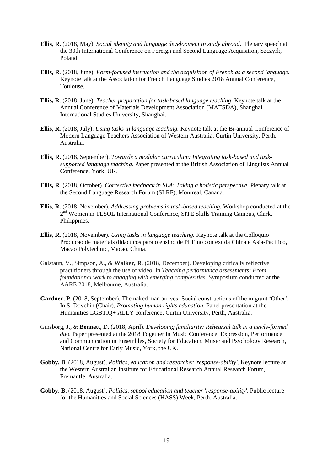- **Ellis, R.** (2018, May). *Social identity and language development in study abroad*. Plenary speech at the 30th International Conference on Foreign and Second Language Acquisition, Szczyrk, Poland.
- **Ellis, R**. (2018, June). *Form-focused instruction and the acquisition of French as a second language.* Keynote talk at the Association for French Language Studies 2018 Annual Conference, Toulouse.
- **Ellis, R**. (2018, June). *Teacher preparation for task-based language teaching*. Keynote talk at the Annual Conference of Materials Development Association (MATSDA), Shanghai International Studies University, Shanghai.
- **Ellis, R**. (2018, July). *Using tasks in language teaching.* Keynote talk at the Bi-annual Conference of Modern Language Teachers Association of Western Australia, Curtin University, Perth, Australia.
- **Ellis, R.** (2018, September). *Towards a modular curriculum: Integrating task-based and tasksupported language teaching.* Paper presented at the British Association of Linguists Annual Conference, York, UK.
- **Ellis, R**. (2018, October). *Corrective feedback in SLA: Taking a holistic perspective.* Plenary talk at the Second Language Research Forum (SLRF), Montreal, Canada.
- **Ellis, R.** (2018, November). *Addressing problems in task-based teaching.* Workshop conducted at the 2<sup>nd</sup> Women in TESOL International Conference, SITE Skills Training Campus, Clark, Philippines.
- **Ellis, R.** (2018, November). *Using tasks in language teaching.* Keynote talk at the Colloquio Producao de materiais didacticos para o ensino de PLE no context da China e Asia-Pacifico, Macao Polytechnic, Macao, China.
- Galstaun, V., Simpson, A., & **Walker, R**. (2018, December). Developing critically reflective practitioners through the use of video. In *Teaching performance assessments: From foundational work to engaging with emerging complexities.* Symposium conducted at the AARE 2018, Melbourne, Australia.
- Gardner, P. (2018, September). The naked man arrives: Social constructions of the migrant 'Other'. In S. Dovchin (Chair), *Promoting human rights education.* Panel presentation at the Humanities LGBTIQ+ ALLY conference, Curtin University, Perth, Australia.
- Ginsborg, J., & **Bennett**, D. (2018, April). *Developing familiarity: Rehearsal talk in a newly-formed duo.* Paper presented at the 2018 Together in Music Conference: Expression, Performance and Communication in Ensembles, Society for Education, Music and Psychology Research, National Centre for Early Music, York, the UK.
- **Gobby, B**. (2018, August). *Politics, education and researcher 'response-ability'*. Keynote lecture at the Western Australian Institute for Educational Research Annual Research Forum, Fremantle, Australia.
- **Gobby, B.** (2018, August). *Politics, school education and teacher 'response-ability'*. Public lecture for the Humanities and Social Sciences (HASS) Week, Perth, Australia.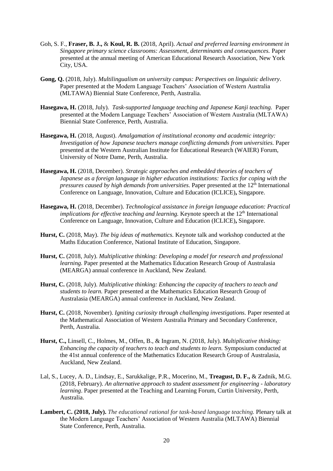- Goh, S. F., **Fraser, B. J.,** & **Koul, R. B.** (2018, April). *Actual and preferred learning environment in Singapore primary science classrooms: Assessment, determinants and consequences.* Paper presented at the annual meeting of American Educational Research Association, New York City, USA.
- **Gong, Q.** (2018, July). *Multilingualism on university campus: Perspectives on linguistic delivery*. Paper presented at the Modern Language Teachers' Association of Western Australia (MLTAWA) Biennial State Conference, Perth, Australia.
- **Hasegawa, H.** (2018, July). *Task-supported language teaching and Japanese Kanji teaching.* Paper presented at the Modern Language Teachers' Association of Western Australia (MLTAWA) Biennial State Conference, Perth, Australia.
- **Hasegawa, H.** (2018, August). *Amalgamation of institutional economy and academic integrity: Investigation of how Japanese teachers manage conflicting demands from universities.* Paper presented at the Western Australian Institute for Educational Research (WAIER) Forum, University of Notre Dame, Perth, Australia.
- **Hasegawa, H.** (2018, December). *Strategic approaches and embedded theories of teachers of Japanese as a foreign language in higher education institutions: Tactics for coping with the pressures caused by high demands from universities.* Paper presented at the 12<sup>th</sup> International Conference on Language, Innovation, Culture and Education (ICLICE)**,** Singapore.
- **Hasegawa, H.** (2018, December). *Technological assistance in foreign language education: Practical implications for effective teaching and learning.* Keynote speech at the 12<sup>th</sup> International Conference on Language, Innovation, Culture and Education (ICLICE)**,** Singapore.
- **Hurst, C.** (2018, May). *The big ideas of mathematics.* Keynote talk and workshop conducted at the Maths Education Conference, National Institute of Education, Singapore.
- **Hurst, C.** (2018, July). *Multiplicative thinking: Developing a model for research and professional learning.* Paper presented at the Mathematics Education Research Group of Australasia (MEARGA) annual conference in Auckland, New Zealand.
- **Hurst, C.** (2018, July). *Multiplicative thinking: Enhancing the capacity of teachers to teach and students to learn.* Paper presented at the Mathematics Education Research Group of Australasia (MEARGA) annual conference in Auckland, New Zealand.
- **Hurst, C.** (2018, November). *Igniting curiosity through challenging investigations.* Paper resented at the Mathematical Association of Western Australia Primary and Secondary Conference, Perth, Australia.
- **Hurst, C.,** Linsell, C., Holmes, M., Offen, B., & Ingram, N. (2018, July). *Multiplicative thinking: Enhancing the capacity of teachers to teach and students to learn.* Symposium conducted at the 41st annual conference of the Mathematics Education Research Group of Australasia, Auckland, New Zealand.
- Lal, S., Lucey, A. D., Lindsay, E., Sarukkalige, P.R., Mocerino, M., **Treagust, D. F.,** & Zadnik, M.G. (2018, February). *An alternative approach to student assessment for engineering - laboratory learning*. Paper presented at the Teaching and Learning Forum, Curtin University, Perth, Australia.
- **Lambert, C. (2018, July).** *The educational rational for task-based language teaching.* Plenary talk at the Modern Language Teachers' Association of Western Australia (MLTAWA) Biennial State Conference, Perth, Australia.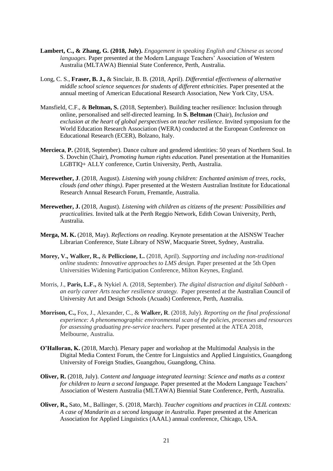- **Lambert, C., & Zhang, G. (2018, July).** *Engagement in speaking English and Chinese as second languages.* Paper presented at the Modern Language Teachers' Association of Western Australia (MLTAWA) Biennial State Conference, Perth, Australia.
- Long, C. S., **Fraser, B. J.,** & Sinclair, B. B. (2018, April). *Differential effectiveness of alternative middle school science sequences for students of different ethnicities.* Paper presented at the annual meeting of American Educational Research Association, New York City, USA.
- Mansfield, C.F., & **Beltman, S.** (2018, September). Building teacher resilience: Inclusion through online, personalised and self-directed learning. In **S. Beltman** (Chair), *Inclusion and exclusion at the heart of global perspectives on teacher resilience*. Invited symposium for the World Education Research Association (WERA) conducted at the European Conference on Educational Research (ECER), Bolzano, Italy.
- **Mercieca**, **P.** (2018, September). Dance culture and gendered identities: 50 years of Northern Soul. In S. Dovchin (Chair), *Promoting human rights education.* Panel presentation at the Humanities LGBTIQ+ ALLY conference, Curtin University, Perth, Australia.
- **Merewether, J**. (2018, August). *Listening with young children: Enchanted animism of trees, rocks, clouds (and other things)*. Paper presented at the Western Australian Institute for Educational Research Annual Research Forum, Fremantle, Australia.
- **Merewether, J.** (2018, August). *Listening with children as citizens of the present: Possibilities and practicalities.* Invited talk at the Perth Reggio Network, Edith Cowan University, Perth, Australia.
- **Merga, M. K.** (2018, May). *Reflections on reading*. Keynote presentation at the AISNSW Teacher Librarian Conference, State Library of NSW, Macquarie Street, Sydney, Australia.
- **Morey, V., Walker, R.,** & **Pelliccione, L.** (2018, April). *Supporting and including non-traditional online students: Innovative approaches to LMS design.* Paper presented at the 5th Open Universities Widening Participation Conference, Milton Keynes, England.
- Morris, J., **Paris, L.F.,** & Nykiel A. (2018, September). *The digital distraction and digital Sabbath an early career Arts teacher resilience strategy.* Paper presented at the Australian Council of University Art and Design Schools (Acuads) Conference, Perth, Australia.
- **Morrison, C.,** Fox, J., Alexander, C., & **Walker, R**. (2018, July). *Reporting on the final professional experience: A phenomenographic environmental scan of the policies, processes and resources for assessing graduating pre-service teachers.* Paper presented at the ATEA 2018, Melbourne, Australia.
- **O'Halloran, K.** (2018, March). Plenary paper and workshop at the Multimodal Analysis in the Digital Media Context Forum, the Centre for Linguistics and Applied Linguistics, Guangdong University of Foreign Studies, Guangzhou, Guangdong, China.
- **Oliver, R.** (2018, July). *Content and language integrated learning: Science and maths as a context for children to learn a second language.* Paper presented at the Modern Language Teachers' Association of Western Australia (MLTAWA) Biennial State Conference, Perth, Australia.
- **Oliver, R.,** Sato, M., Ballinger, S. (2018, March). *Teacher cognitions and practices in CLIL contexts: A case of Mandarin as a second language in Australia*. Paper presented at the American Association for Applied Linguistics (AAAL) annual conference, Chicago, USA.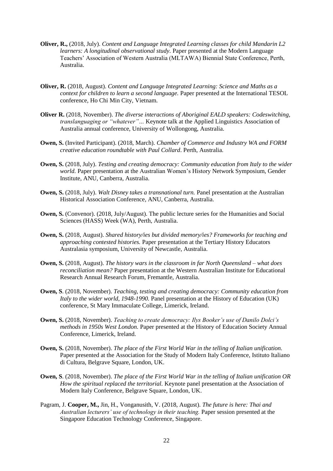- **Oliver, R.,** (2018, July). *Content and Language Integrated Learning classes for child Mandarin L2 learners: A longitudinal observational study.* Paper presented at the Modern Language Teachers' Association of Western Australia (MLTAWA) Biennial State Conference, Perth, Australia.
- **Oliver, R.** (2018, August). *Content and Language Integrated Learning: Science and Maths as a context for children to learn a second language.* Paper presented at the International TESOL conference, Ho Chi Min City, Vietnam.
- **Oliver R.** (2018, November). *The diverse interactions of Aboriginal EALD speakers: Codeswitching, translanguaging or "whatever"…* Keynote talk at the Applied Linguistics Association of Australia annual conference, University of Wollongong, Australia.
- **Owen, S.** (Invited Participant). (2018, March). *Chamber of Commerce and Industry WA and FORM creative education roundtable with Paul Collard*. Perth, Australia.
- **Owen, S.** (2018, July). *Testing and creating democracy: Community education from Italy to the wider world.* Paper presentation at the Australian Women's History Network Symposium, Gender Institute, ANU, Canberra, Australia.
- **Owen, S.** (2018, July). *Walt Disney takes a transnational turn.* Panel presentation at the Australian Historical Association Conference, ANU, Canberra, Australia.
- **Owen, S.** (Convenor). (2018, July/August). The public lecture series for the Humanities and Social Sciences (HASS) Week (WA), Perth, Australia.
- **Owen, S.** (2018, August). *Shared history/ies but divided memory/ies? Frameworks for teaching and approaching contested histories.* Paper presentation at the Tertiary History Educators Australasia symposium, University of Newcastle, Australia.
- **Owen, S.** (2018, August). *The history wars in the classroom in far North Queensland – what does reconciliation mean?* Paper presentation at the Western Australian Institute for Educational Research Annual Research Forum, Fremantle, Australia.
- **Owen, S**. (2018, November). *Teaching, testing and creating democracy: Community education from Italy to the wider world, 1948-1990.* Panel presentation at the History of Education (UK) conference, St Mary Immaculate College, Limerick, Ireland.
- **Owen, S.** (2018, November). *Teaching to create democracy: Ilys Booker's use of Danilo Dolci's methods in 1950s West London.* Paper presented at the History of Education Society Annual Conference, Limerick, Ireland.
- **Owen, S.** (2018, November). *The place of the First World War in the telling of Italian unification.* Paper presented at the Association for the Study of Modern Italy Conference, Istituto Italiano di Cultura, Belgrave Square, London, UK.
- **Owen, S**. (2018, November). *The place of the First World War in the telling of Italian unification OR How the spiritual replaced the territorial.* Keynote panel presentation at the Association of Modern Italy Conference, Belgrave Square, London, UK.
- Pagram, J. **Cooper, M.,** Jin, H., Vonganusith, V. (2018, August). *The future is here: Thai and Australian lecturers' use of technology in their teaching.* Paper session presented at the Singapore Education Technology Conference, Singapore.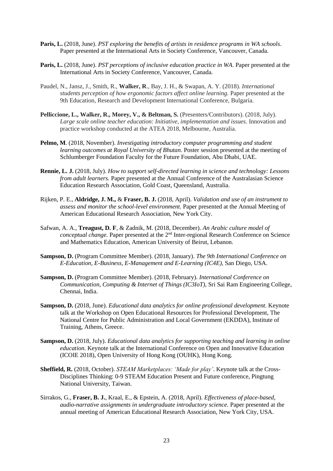- **Paris, L.** (2018, June). *PST exploring the benefits of artists in residence programs in WA schools*. Paper presented at the International Arts in Society Conference, Vancouver, Canada.
- **Paris, L.** (2018, June). *PST perceptions of inclusive education practice in WA*. Paper presented at the International Arts in Society Conference, Vancouver, Canada.
- Paudel, N., Jansz, J., Smith, R., **Walker, R**., Bay, J. H., & Swapan, A. Y. (2018). *International students perception of how ergonomic factors affect online learning.* Paper presented at the 9th Education, Research and Development International Conference, Bulgaria.
- **Pelliccione, L., Walker, R., Morey, V., & Beltman, S.** (Presenters/Contributors). (2018, July). *Large scale online teacher education: Initiative, implementation and issues.* Innovation and practice workshop conducted at the ATEA 2018, Melbourne, Australia.
- **Pelmo, M**. (2018, November). *Investigating introductory computer programming and student learning outcomes at Royal University of Bhutan.* Poster session presented at the meeting of Schlumberger Foundation Faculty for the Future Foundation, Abu Dhabi, UAE.
- **Rennie, L. J.** (2018, July). *How to support self-directed learning in science and technology: Lessons from adult learners.* Paper presented at the Annual Conference of the Australasian Science Education Research Association, Gold Coast, Queensland, Australia.
- Rijken, P. E., **Aldridge, J. M.,** & **Fraser, B. J.** (2018, April). *Validation and use of an instrument to assess and monitor the school-level environment.* Paper presented at the Annual Meeting of American Educational Research Association, New York City.
- Safwan, A. A., **Treagust, D. F**, & Zadnik, M. (2018, December). *An Arabic culture model of*  conceptual change. Paper presented at the 2<sup>nd</sup> Inter-regional Research Conference on Science and Mathematics Education, American University of Beirut, Lebanon.
- **Sampson, D.** (Program Committee Member). (2018, January). *The 9th International Conference on E-Education, E-Business, E-Management and E-Learning (IC4E)*, San Diego, USA.
- **Sampson, D.** (Program Committee Member). (2018, February). *International Conference on Communication, Computing & Internet of Things (IC3IoT)*, [Sri Sai Ram Engineering College,](http://sairam.edu.in/) Chennai, India.
- **Sampson, D.** (2018, June). *Educational data analytics for online professional development.* Keynote talk at the Workshop on Open Educational Resources for Professional Development, The National Centre for Public Administration and Local Government (EKDDA), Institute of Training, Athens, Greece.
- **Sampson, D.** (2018, July). *Educational data analytics for supporting teaching and learning in online education.* Keynote talk at the International Conference on Open and Innovative Education (ICOIE 2018), Open University of Hong Kong (OUHK), Hong Kong.
- **Sheffield, R.** (2018, October). *STEAM Marketplaces: 'Made for play'*. Keynote talk at the Cross-Disciplines Thinking: 0-9 STEAM Education Present and Future conference, Pingtung National University, Taiwan.
- Sirrakos, G., **Fraser, B. J.**, Kraal, E., & Epstein, A. (2018, April). *Effectiveness of place-based, audio-narrative assignments in undergraduate introductory science.* Paper presented at the annual meeting of American Educational Research Association, New York City, USA.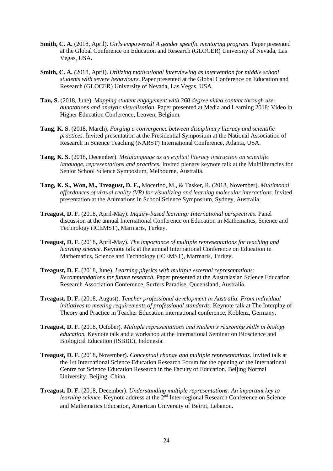- **Smith, C. A.** (2018, April). *Girls empowered! A gender specific mentoring program.* Paper presented at the Global Conference on Education and Research (GLOCER) University of Nevada, Las Vegas, USA.
- **Smith, C. A.** (2018, April). *Utilizing motivational interviewing as intervention for middle school students with severe behaviours.* Paper presented at the Global Conference on Education and Research (GLOCER) University of Nevada, Las Vegas, USA.
- **Tan, S.** (2018, June). *Mapping student engagement with 360 degree video content through useannotations and analytic visualisation*. Paper presented at Media and Learning 2018: Video in Higher Education Conference, Leuven, Belgium*.*
- **Tang, K. S.** (2018, March). *Forging a convergence between disciplinary literacy and scientific practices.* Invited presentation at the Presidential Symposium at the National Association of Research in Science Teaching (NARST) International Conference, Atlanta, USA.
- **Tang, K. S.** (2018, December). *Metalanguage as an explicit literacy instruction on scientific language, representations and practices.* Invited plenary keynote talk at the Multiliteracies for Senior School Science Symposium, Melbourne, Australia.
- **Tang, K. S., Won, M., Treagust, D. F.,** Mocerino, M., & Tasker, R. (2018, November). *Multimodal affordances of virtual reality (VR) for visualizing and learning molecular interactions.* Invited presentation at the Animations in School Science Symposium*,* Sydney, Australia.
- **Treagust, D. F.** (2018, April-May). *Inquiry-based learning: International perspectives.* Panel discussion at the annual International Conference on Education in Mathematics, Science and Technology (ICEMST), Marmaris, Turkey.
- **Treagust, D. F.** (2018, April-May). *The importance of multiple representations for teaching and learning science.* Keynote talk at the annual International Conference on Education in Mathematics, Science and Technology (ICEMST), Marmaris, Turkey.
- **Treagust, D. F.** (2018, June). *Learning physics with multiple external representations: Recommendations for future research.* Paper presented at the Australasian Science Education Research Association Conference, Surfers Paradise, Queensland, Australia.
- **Treagust, D. F.** (2018, August). *Teacher professional development in Australia: From individual initiatives to meeting requirements of professional standards*. Keynote talk at The Interplay of Theory and Practice in Teacher Education international conference, Koblenz, Germany.
- **Treagust, D. F.** (2018, October). *Multiple representations and student's reasoning skills in biology education.* Keynote talk and a workshop at the International Seminar on Bioscience and Biological Education (ISBBE), Indonesia*.*
- **Treagust, D. F.** (2018, November). *Conceptual change and multiple representations.* Invited talk at the 1st International Science Education Research Forum for the opening of the International Centre for Science Education Research in the Faculty of Education, Beijing Normal University, Beijing, China.
- **Treagust, D. F.** (2018, December). *Understanding multiple representations: An important key to learning science.* Keynote address at the 2<sup>nd</sup> Inter-regional Research Conference on Science and Mathematics Education, American University of Beirut, Lebanon.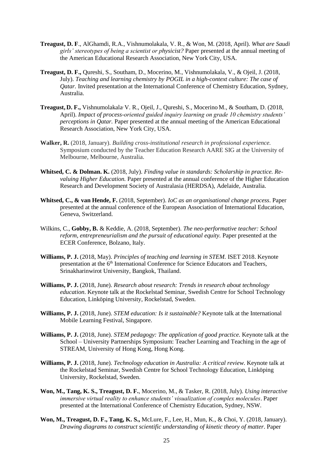- **Treagust, D. F**., AlGhamdi, R.A., Vishnumolakala, V. R., & Won, M. (2018, April). *What are Saudi girls' stereotypes of being a scientist or physicist?* Paper presented at the annual meeting of the American Educational Research Association, New York City, USA.
- **Treagust, D. F.,** Qureshi, S., Southam, D., Mocerino, M., Vishnumolakala, V., & Ojeil, J. (2018, July). *Teaching and learning chemistry by POGIL in a high-context culture: The case of Qatar.* Invited presentation at the International Conference of Chemistry Education, Sydney, Australia.
- **Treagust, D. F.,** Vishnumolakala, V. R., Ojeil, J., Qureshi, S., Mocerino M., & Southam, D. (2018, April). *Impact of process-oriented guided inquiry learning on grade 10 chemistry students' perceptions in Qatar.* Paper presented at the annual meeting of the American Educational Research Association, New York City, USA.
- **Walker, R.** (2018, January). *Building cross-institutional research in professional experience.* Symposium conducted by the Teacher Education Research AARE SIG at the University of Melbourne, Melbourne, Australia.
- **Whitsed, C. & Dolman. K.** (2018, July). *Finding value in standards: Scholarship in practice. Revaluing Higher Education.* Paper presented at the annual conference of the Higher Education Research and Development Society of Australasia (HERDSA), Adelaide, Australia.
- **Whitsed, C., & van Hende, F.** (2018, September). *IoC as an organisational change process*. Paper presented at the annual conference of the European Association of International Education, Geneva, Switzerland.
- Wilkins, C., **Gobby, B.** & Keddie, A. (2018, September). *The neo-performative teacher: School reform, entrepreneurialism and the pursuit of educational equity.* Paper presented at the ECER Conference, Bolzano, Italy.
- **Williams, P. J.** (2018, May). *Principles of teaching and learning in STEM.* ISET 2018. Keynote presentation at the 6<sup>th</sup> International Conference for Science Educators and Teachers, Srinakharinwirot University, Bangkok, Thailand.
- **Williams, P. J.** (2018, June). *Research about research: Trends in research about technology education*. Keynote talk at the Rockelstad Seminar, Swedish Centre for School Technology Education, Linköping University, Rockelstad, Sweden.
- **Williams, P. J.** (2018, June). *STEM education: Is it sustainable?* Keynote talk at the International Mobile Learning Festival, Singapore.
- **Williams, P. J.** (2018, June). *STEM pedagogy: The application of good practice.* Keynote talk at the School – University Partnerships Symposium: Teacher Learning and Teaching in the age of STREAM, University of Hong Kong, Hong Kong.
- **Williams, P. J.** (2018, June). *Technology education in Australia: A critical review*. Keynote talk at the Rockelstad Seminar, Swedish Centre for School Technology Education, Linköping University, Rockelstad, Sweden.
- **Won, M., Tang, K. S., Treagust, D. F.**, Mocerino, M., & Tasker, R. (2018, July). *Using interactive immersive virtual reality to enhance students' visualization of complex molecules*. Paper presented at the International Conference of Chemistry Education, Sydney, NSW.
- **Won, M., Treagust, D. F., Tang, K. S.,** McLure, F., Lee, H., Mun, K., & Choi, Y. (2018, January). *Drawing diagrams to construct scientific understanding of kinetic theory of matter*. Paper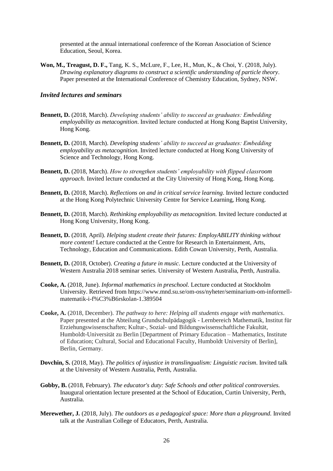presented at the annual international conference of the Korean Association of Science Education, Seoul, Korea.

**Won, M., Treagust, D. F.,** Tang, K. S., McLure, F., Lee, H., Mun, K., & Choi, Y. (2018, July). *Drawing explanatory diagrams to construct a scientific understanding of particle theory*. Paper presented at the International Conference of Chemistry Education, Sydney, NSW.

#### *Invited lectures and seminars*

- **Bennett, D.** (2018, March). *Developing students' ability to succeed as graduates: Embedding employability as metacognition*. Invited lecture conducted at Hong Kong Baptist University, Hong Kong.
- **Bennett, D.** (2018, March). *Developing students' ability to succeed as graduates: Embedding employability as metacognition*. Invited lecture conducted at Hong Kong University of Science and Technology, Hong Kong.
- **Bennett, D.** (2018, March). *How to strengthen students' employability with flipped classroom approach.* Invited lecture conducted at the City University of Hong Kong, Hong Kong.
- **Bennett, D.** (2018, March). *Reflections on and in critical service learning*. Invited lecture conducted at the Hong Kong Polytechnic University Centre for Service Learning, Hong Kong.
- **Bennett, D.** (2018, March). *Rethinking employability as metacognition.* Invited lecture conducted at Hong Kong University, Hong Kong.
- **Bennett, D.** (2018, April). *Helping student create their futures: EmployABILITY thinking without more content!* Lecture conducted at the Centre for Research in Entertainment, Arts, Technology, Education and Communications. Edith Cowan University, Perth, Australia.
- **Bennett, D.** (2018, October). *Creating a future in music*. Lecture conducted at the University of Western Australia 2018 seminar series. University of Western Australia, Perth, Australia.
- **Cooke, A.** (2018, June). *Informal mathematics in preschool.* Lecture conducted at Stockholm University. Retrieved from [https://www.mnd.su.se/om-oss/nyheter/seminarium-om-informell](https://www.mnd.su.se/om-oss/nyheter/seminarium-om-informell-matematik-i-f%C3%B6rskolan-1.389504)[matematik-i-f%C3%B6rskolan-1.389504](https://www.mnd.su.se/om-oss/nyheter/seminarium-om-informell-matematik-i-f%C3%B6rskolan-1.389504)
- **Cooke, A.** (2018, December). *The pathway to here: Helping all students engage with mathematics*. Paper presented at the Abteilung Grundschulpädagogik - Lernbereich Mathematik, Institut für Erziehungswissenschaften; Kultur-, Sozial- und Bildungswissenschaftliche Fakultät, Humboldt-Universität zu Berlin [Department of Primary Education – Mathematics, Institute of Education; Cultural, Social and Educational Faculty, Humboldt University of Berlin], Berlin, Germany.
- **Dovchin, S.** (2018, May). *The politics of injustice in translingualism: Linguistic racism*. Invited talk at the University of Western Australia, Perth, Australia.
- **Gobby, B.** (2018, February). *The educator's duty: Safe Schools and other political controversies.*  Inaugural orientation lecture presented at the School of Education, Curtin University, Perth, Australia.
- **Merewether, J***.* (2018, July). *The outdoors as a pedagogical space: More than a playground.* Invited talk at the Australian College of Educators, Perth, Australia.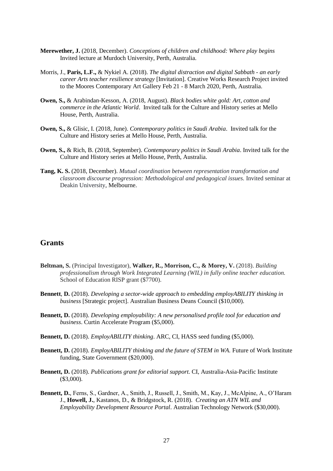- **Merewether, J.** (2018, December). *Conceptions of children and childhood: Where play begins* Invited lecture at Murdoch University, Perth, Australia.
- Morris, J., **Paris, L.F.,** & Nykiel A. (2018). *The digital distraction and digital Sabbath - an early career Arts teacher resilience strategy* [Invitation]. Creative Works Research Project invited to the Moores Contemporary Art Gallery Feb 21 - 8 March 2020, Perth, Australia.
- **Owen, S.,** & Arabindan-Kesson, A. (2018, August). *Black bodies white gold: Art, cotton and commerce in the Atlantic World*. Invited talk for the Culture and History series at Mello House, Perth, Australia.
- **Owen, S.,** & Glisic, I. (2018, June). *Contemporary politics in Saudi Arabia*. Invited talk for the Culture and History series at Mello House, Perth, Australia.
- **Owen, S.,** & Rich, B. (2018, September). *Contemporary politics in Saudi Arabia*. Invited talk for the Culture and History series at Mello House, Perth, Australia.
- **Tang, K. S.** (2018, December). *Mutual coordination between representation transformation and classroom discourse progression: Methodological and pedagogical issues.* Invited seminar at Deakin University, Melbourne.

# **Grants**

- **Beltman, S.** (Principal Investigator), **Walker, R., Morrison, C., & Morey, V.** (2018). *Building professionalism through Work Integrated Learning (WIL) in fully online teacher education.* School of Education RISP grant (\$7700).
- **Bennett**, **D.** (2018). *Developing a sector-wide approach to embedding employABILITY thinking in business* [Strategic project]. Australian Business Deans Council (\$10,000).
- **Bennett, D.** (2018). *Developing employability: A new personalised profile tool for education and business*. Curtin Accelerate Program (\$5,000).
- **Bennett, D.** (2018). *EmployABILITY thinking*. ARC, CI, HASS seed funding (\$5,000).
- **Bennett, D.** (2018). *EmployABILITY thinking and the future of STEM in WA*. Future of Work Institute funding, State Government (\$20,000).
- **Bennett, D.** (2018). *Publications grant for editorial support.* CI, Australia-Asia-Pacific Institute (\$3,000).
- **Bennett, D.**, Ferns, S., Gardner, A., Smith, J., Russell, J., Smith, M., Kay, J., McAlpine, A., O'Haram J., **Howell, J.**, Kastanos, D., & Bridgstock, R. (2018). *Creating an ATN WIL and Employability Development Resource Portal*. Australian Technology Network (\$30,000).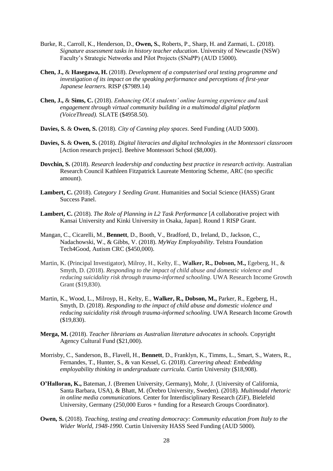- Burke, R., Carroll, K., Henderson, D., **Owen, S.**, Roberts, P., Sharp, H. and Zarmati, L. (2018). *Signature assessment tasks in history teacher education*. University of Newcastle (NSW) Faculty's Strategic Networks and Pilot Projects (SNaPP) (AUD 15000).
- **Chen, J.,** & **Hasegawa, H.** (2018). *Development of a computerised oral testing programme and investigation of its impact on the speaking performance and perceptions of first-year Japanese learners.* RISP (\$7989.14)
- **Chen, J.,** & **Sims, C.** (2018). *Enhancing OUA students' online learning experience and task engagement through virtual community building in a multimodal digital platform (VoiceThread).* SLATE (\$4958.50).
- **Davies, S.** & **Owen, S.** (2018). *City of Canning play spaces*. Seed Funding (AUD 5000).
- **Davies, S.** & **Owen, S.** (2018). *Digital literacies and digital technologies in the Montessori classroom* [Action research project]. Beehive Montessori School (\$8,000).
- **Dovchin, S.** (2018). *Research leadership and conducting best practice in research activity.* Australian Research Council Kathleen Fitzpatrick Laureate Mentoring Scheme, ARC (no specific amount).
- **Lambert, C.** (2018). *Category 1 Seeding Grant*. Humanities and Social Science (HASS) Grant Success Panel.
- **Lambert, C.** (2018). *The Role of Planning in L2 Task Performance* [*A* collaborative project with Kansai University and Kinki University in Osaka, Japan]. Round 1 RISP Grant.
- Mangan, C., Cicarelli, M., **Bennett**, D., Booth, V., Bradford, D., Ireland, D., Jackson, C., Nadachowski, W., & Gibbs, V. (2018). *MyWay Employability*. Telstra Foundation Tech4Good, Autism CRC (\$450,000).
- Martin, K. (Principal Investigator), Milroy, H., Kelty, E., **Walker, R., Dobson, M.,** Egeberg, H., & Smyth, D. (2018). *Responding to the impact of child abuse and domestic violence and reducing suicidality risk through trauma-informed schooling*. UWA Research Income Growth Grant (\$19,830).
- Martin, K., Wood, L., Milroyp, H., Kelty, E., **Walker, R., Dobson, M.,** Parker, R., Egeberg, H., Smyth, D. (2018). *Responding to the impact of child abuse and domestic violence and reducing suicidality risk through trauma-informed schooling*. UWA Research Income Growth (\$19,830).
- **Merga, M.** (2018). *Teacher librarians as Australian literature advocates in schools.* Copyright Agency Cultural Fund (\$21,000).
- Morrisby, C., Sanderson, B., Flavell, H., **Bennett**, D., Franklyn, K., Timms, L., Smart, S., Waters, R., Fernandes, T., Hunter, S., & van Kessel, G. (2018). *Careering ahead: Embedding employability thinking in undergraduate curricula.* Curtin University (\$18,908).
- **O'Halloran, K.,** Bateman, J. (Bremen University, Germany), Mohr, J. (University of California, Santa Barbara, USA), & Bhatt, M. (Örebro University, Sweden). (2018). *Multimodal rhetoric in online media communications.* Center for Interdisciplinary Research (ZiF), Bielefeld University, Germany (250,000 Euros + funding for a Research Groups Coordinator).
- **Owen, S.** (2018). *Teaching, testing and creating democracy: Community education from Italy to the Wider World, 1948-1990.* Curtin University HASS Seed Funding (AUD 5000).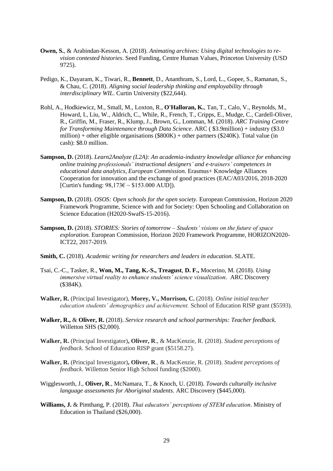- **Owen, S.**, & Arabindan-Kesson, A. (2018). *Animating archives: Using digital technologies to revision contested histories*. Seed Funding, Centre Human Values, Princeton University (USD 9725).
- Pedigo, K., Dayaram, K., Tiwari, R., **Bennett**, D., Ananthram, S., Lord, L., Gopee, S., Ramanan, S., & Chau, C. (2018). *Aligning social leadership thinking and employability through interdisciplinary WIL*. Curtin University (\$22,644).
- Rohl, A., Hodkiewicz, M., Small, M., Loxton, R., **O'Halloran, K.**, Tan, T., Calo, V., Reynolds, M., Howard, I., Liu, W., Aldrich, C., While, R., French, T., Cripps, E., Mudge, C., Cardell-Oliver, R., Griffin, M., Fraser, R., Klump, J., Brown, G., Lomman, M. (2018). *ARC Training Centre for Transforming Maintenance through Data Science*. ARC ( \$3.9million) + industry (\$3.0 million) + other eligible organisations (\$800K) + other partners (\$240K). Total value (in cash): \$8.0 million.
- **Sampson, D.** (2018). *Learn2Analyze (L2A): An academia-industry knowledge alliance for enhancing online training professionals' instructional designers' and e-trainers' competences in educational data analytics, European Commission.* Erasmus+ Knowledge Alliances Cooperation for innovation and the exchange of good practices (EAC/A03/2016, 2018-2020 [Curtin's funding:  $98,173 \in \sim $153.000 \text{ AUD}$ ]).
- **Sampson, D.** (2018). *OSOS: Open schools for the open society.* European Commission, Horizon 2020 Framework Programme, Science with and for Society: Open Schooling and Collaboration on Science Education (H2020-SwafS-15-2016).
- **Sampson, D.** (2018). *STORIES: Stories of tomorrow – Students' visions on the future of space exploration.* European Commission, Horizon 2020 Framework Programme, HORIZON2020- ICT22, 2017-2019.
- **Smith, C.** (2018). *Academic writing for researchers and leaders in education*. SLATE.
- Tsai, C.-C., Tasker, R., **Won, M., Tang, K.-S., Treagust**, **D. F.,** Mocerino, M. (2018). *Using immersive virtual reality to enhance students' science visualization.* ARC Discovery (\$384K).
- **Walker, R.** (Principal Investigator), **Morey, V., Morrison, C.** (2018). *Online initial teacher education students' demographics and achievement.* School of Education RISP grant (\$5593).
- **Walker, R.,** & **Oliver, R.** (2018). *Service research and school partnerships: Teacher feedback.* Willetton SHS (\$2,000).
- **Walker, R.** (Principal Investigator)**, Oliver, R**., & MacKenzie, R. (2018). *Student perceptions of feedback*. School of Education RISP grant (\$5158.27).
- **Walker, R.** (Principal Investigator)**, Oliver, R**., & MacKenzie, R. (2018). *Student perceptions of feedback*. Willetton Senior High School funding (\$2000).
- Wigglesworth, J., **Oliver, R**., McNamara, T., & Knoch, U. (2018). *Towards culturally inclusive language assessments for Aboriginal students.* ARC Discovery (\$445,000).
- **Williams, J.** & Pimthang, P. (2018). *Thai educators' perceptions of STEM education*. Ministry of Education in Thailand (\$26,000).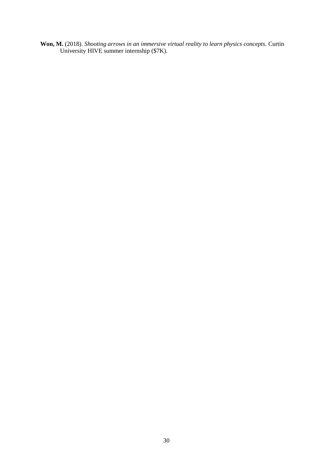**Won, M.** (2018). *Shooting arrows in an immersive virtual reality to learn physics concepts.* Curtin University HIVE summer internship (\$7K).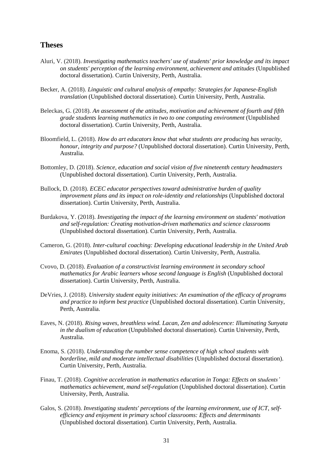#### **Theses**

- Aluri, V. (2018). *Investigating mathematics teachers' use of students' prior knowledge and its impact on students' perception of the learning environment, achievement and attitudes* (Unpublished doctoral dissertation). Curtin University, Perth, Australia.
- Becker, A. (2018). *Linguistic and cultural analysis of empathy: Strategies for Japanese-English translation* (Unpublished doctoral dissertation). Curtin University, Perth, Australia.
- Beleckas, G. (2018). *An assessment of the attitudes, motivation and achievement of fourth and fifth grade students learning mathematics in two to one computing environment* (Unpublished doctoral dissertation). Curtin University, Perth, Australia.
- Bloomfield, L. (2018). *How do art educators know that what students are producing has veracity, honour, integrity and purpose?* (Unpublished doctoral dissertation). Curtin University, Perth, Australia.
- Bottomley, D. (2018). *Science, education and social vision of five nineteenth century headmasters* (Unpublished doctoral dissertation). Curtin University, Perth, Australia.
- Bullock, D. (2018). *ECEC educator perspectives toward administrative burden of quality improvement plans and its impact on role-identity and relationships* (Unpublished doctoral dissertation). Curtin University, Perth, Australia.
- Burdakova, Y. (2018). *Investigating the impact of the learning environment on students' motivation and self-regulation: Creating motivation-driven mathematics and science classrooms* (Unpublished doctoral dissertation). Curtin University, Perth, Australia.
- Cameron, G. (2018). *Inter-cultural coaching: Developing educational leadership in the United Arab Emirates* (Unpublished doctoral dissertation). Curtin University, Perth, Australia.
- Cvovo, D. (2018). *Evaluation of a constructivist learning environment in secondary school mathematics for Arabic learners whose second language is English* (Unpublished doctoral dissertation). Curtin University, Perth, Australia.
- DeVries, J. (2018). *University student equity initiatives: An examination of the efficacy of programs and practice to inform best practice* (Unpublished doctoral dissertation). Curtin University, Perth, Australia.
- Eaves, N. (2018). *Rising waves, breathless wind. Lacan, Zen and adolescence: Illuminating Sunyata in the dualism of education* (Unpublished doctoral dissertation). Curtin University, Perth, Australia.
- Enoma, S. (2018). *Understanding the number sense competence of high school students with borderline, mild and moderate intellectual disabilities* (Unpublished doctoral dissertation). Curtin University, Perth, Australia.
- Finau, T. (2018). *Cognitive acceleration in mathematics education in Tonga: Effects on students' mathematics achievement, mand self-regulation* (Unpublished doctoral dissertation). Curtin University, Perth, Australia.
- Galos, S. (2018). *Investigating students' perceptions of the learning environment, use of ICT, selfefficiency and enjoyment in primary school classrooms: Effects and determinants* (Unpublished doctoral dissertation). Curtin University, Perth, Australia.